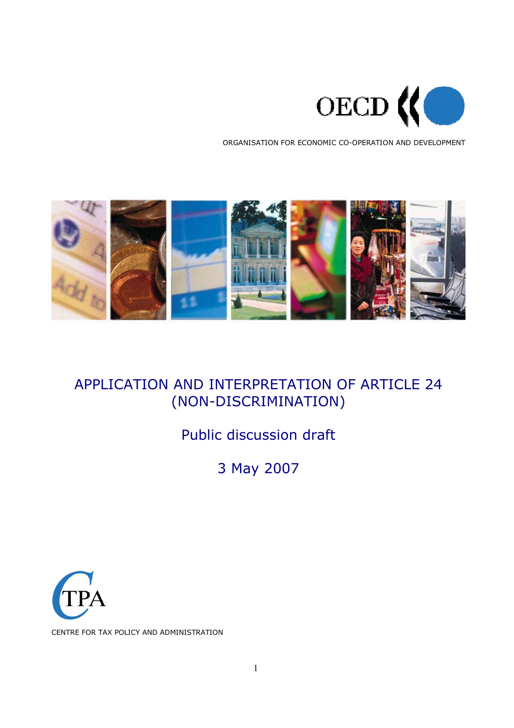

ORGANISATION FOR ECONOMIC CO-OPERATION AND DEVELOPMENT



# APPLICATION AND INTERPRETATION OF ARTICLE 24 (NON-DISCRIMINATION)

# Public discussion draft

3 May 2007



CENTRE FOR TAX POLICY AND ADMINISTRATION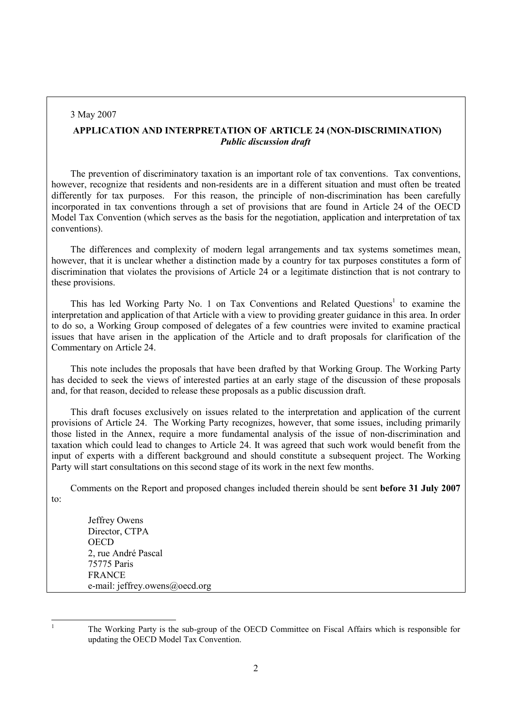#### 3 May 2007

# **APPLICATION AND INTERPRETATION OF ARTICLE 24 (NON-DISCRIMINATION)**  *Public discussion draft*

The prevention of discriminatory taxation is an important role of tax conventions. Tax conventions, however, recognize that residents and non-residents are in a different situation and must often be treated differently for tax purposes. For this reason, the principle of non-discrimination has been carefully incorporated in tax conventions through a set of provisions that are found in Article 24 of the OECD Model Tax Convention (which serves as the basis for the negotiation, application and interpretation of tax conventions).

The differences and complexity of modern legal arrangements and tax systems sometimes mean, however, that it is unclear whether a distinction made by a country for tax purposes constitutes a form of discrimination that violates the provisions of Article 24 or a legitimate distinction that is not contrary to these provisions.

This has led Working Party No. 1 on Tax Conventions and Related Questions<sup>1</sup> to examine the interpretation and application of that Article with a view to providing greater guidance in this area. In order to do so, a Working Group composed of delegates of a few countries were invited to examine practical issues that have arisen in the application of the Article and to draft proposals for clarification of the Commentary on Article 24.

This note includes the proposals that have been drafted by that Working Group. The Working Party has decided to seek the views of interested parties at an early stage of the discussion of these proposals and, for that reason, decided to release these proposals as a public discussion draft.

This draft focuses exclusively on issues related to the interpretation and application of the current provisions of Article 24. The Working Party recognizes, however, that some issues, including primarily those listed in the Annex, require a more fundamental analysis of the issue of non-discrimination and taxation which could lead to changes to Article 24. It was agreed that such work would benefit from the input of experts with a different background and should constitute a subsequent project. The Working Party will start consultations on this second stage of its work in the next few months.

Comments on the Report and proposed changes included therein should be sent **before 31 July 2007** 

 Jeffrey Owens Director, CTPA **OECD**  2, rue André Pascal 75775 Paris **FRANCE** e-mail: jeffrey.owens@oecd.org

 $\overline{a}$ 1

to:

The Working Party is the sub-group of the OECD Committee on Fiscal Affairs which is responsible for updating the OECD Model Tax Convention.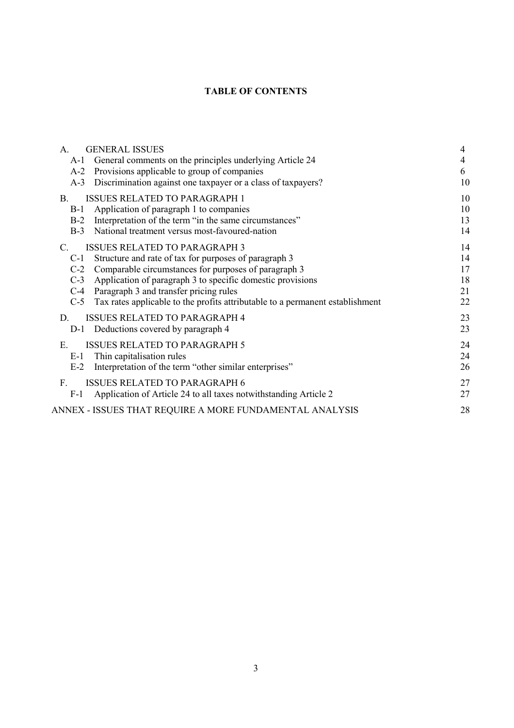# **TABLE OF CONTENTS**

| <b>GENERAL ISSUES</b><br>$\mathsf{A}$ .                                                | 4  |
|----------------------------------------------------------------------------------------|----|
| General comments on the principles underlying Article 24<br>$A-1$                      | 4  |
| A-2 Provisions applicable to group of companies                                        | 6  |
| Discrimination against one taxpayer or a class of taxpayers?<br>$A-3$                  | 10 |
| <b>ISSUES RELATED TO PARAGRAPH 1</b><br>B.                                             | 10 |
| Application of paragraph 1 to companies<br>$B-1$                                       | 10 |
| Interpretation of the term "in the same circumstances"<br>$B-2$                        | 13 |
| National treatment versus most-favoured-nation<br>$B-3$                                | 14 |
| <b>ISSUES RELATED TO PARAGRAPH 3</b><br>$\mathcal{C}$ .                                | 14 |
| Structure and rate of tax for purposes of paragraph 3<br>$C-1$                         | 14 |
| Comparable circumstances for purposes of paragraph 3<br>$C-2$                          | 17 |
| Application of paragraph 3 to specific domestic provisions<br>$C-3$                    | 18 |
| C-4 Paragraph 3 and transfer pricing rules                                             | 21 |
| Tax rates applicable to the profits attributable to a permanent establishment<br>$C-5$ | 22 |
| <b>ISSUES RELATED TO PARAGRAPH 4</b><br>D.                                             | 23 |
| D-1 Deductions covered by paragraph 4                                                  | 23 |
| <b>ISSUES RELATED TO PARAGRAPH 5</b><br>E.                                             | 24 |
| Thin capitalisation rules<br>$E-1$                                                     | 24 |
| Interpretation of the term "other similar enterprises"<br>$E-2$                        | 26 |
| <b>ISSUES RELATED TO PARAGRAPH 6</b><br>$\mathbf{F}$                                   | 27 |
| Application of Article 24 to all taxes notwithstanding Article 2<br>$F-1$              | 27 |
| ANNEX - ISSUES THAT REQUIRE A MORE FUNDAMENTAL ANALYSIS                                | 28 |
|                                                                                        |    |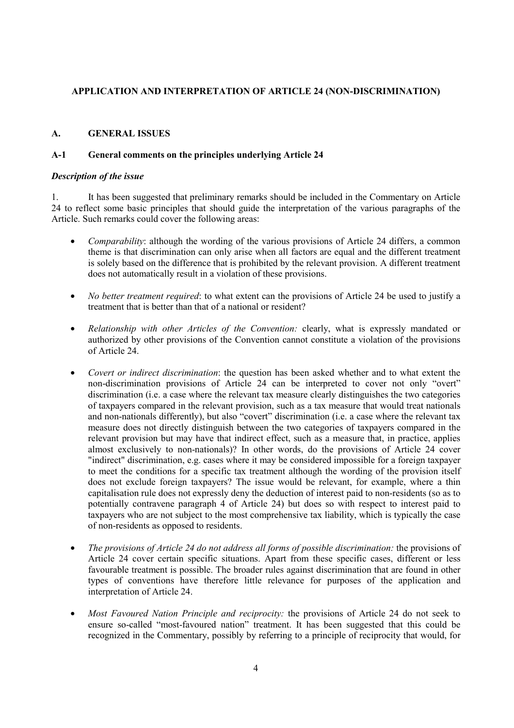# **APPLICATION AND INTERPRETATION OF ARTICLE 24 (NON-DISCRIMINATION)**

# **A. GENERAL ISSUES**

#### **A-1 General comments on the principles underlying Article 24**

#### *Description of the issue*

1. It has been suggested that preliminary remarks should be included in the Commentary on Article 24 to reflect some basic principles that should guide the interpretation of the various paragraphs of the Article. Such remarks could cover the following areas:

- *Comparability*: although the wording of the various provisions of Article 24 differs, a common theme is that discrimination can only arise when all factors are equal and the different treatment is solely based on the difference that is prohibited by the relevant provision. A different treatment does not automatically result in a violation of these provisions.
- *No better treatment required*: to what extent can the provisions of Article 24 be used to justify a treatment that is better than that of a national or resident?
- *Relationship with other Articles of the Convention: clearly, what is expressly mandated or* authorized by other provisions of the Convention cannot constitute a violation of the provisions of Article 24.
- *Covert or indirect discrimination*: the question has been asked whether and to what extent the non-discrimination provisions of Article 24 can be interpreted to cover not only "overt" discrimination (i.e. a case where the relevant tax measure clearly distinguishes the two categories of taxpayers compared in the relevant provision, such as a tax measure that would treat nationals and non-nationals differently), but also "covert" discrimination (i.e. a case where the relevant tax measure does not directly distinguish between the two categories of taxpayers compared in the relevant provision but may have that indirect effect, such as a measure that, in practice, applies almost exclusively to non-nationals)? In other words, do the provisions of Article 24 cover "indirect" discrimination, e.g. cases where it may be considered impossible for a foreign taxpayer to meet the conditions for a specific tax treatment although the wording of the provision itself does not exclude foreign taxpayers? The issue would be relevant, for example, where a thin capitalisation rule does not expressly deny the deduction of interest paid to non-residents (so as to potentially contravene paragraph 4 of Article 24) but does so with respect to interest paid to taxpayers who are not subject to the most comprehensive tax liability, which is typically the case of non-residents as opposed to residents.
- *The provisions of Article 24 do not address all forms of possible discrimination:* the provisions of Article 24 cover certain specific situations. Apart from these specific cases, different or less favourable treatment is possible. The broader rules against discrimination that are found in other types of conventions have therefore little relevance for purposes of the application and interpretation of Article 24.
- *Most Favoured Nation Principle and reciprocity:* the provisions of Article 24 do not seek to ensure so-called "most-favoured nation" treatment. It has been suggested that this could be recognized in the Commentary, possibly by referring to a principle of reciprocity that would, for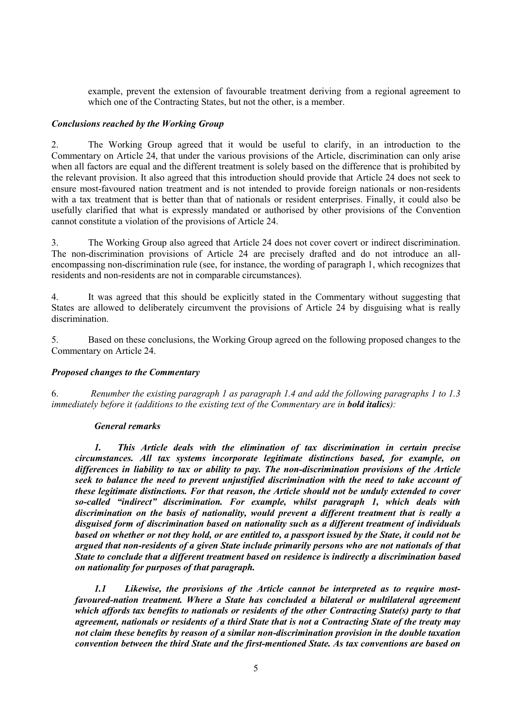example, prevent the extension of favourable treatment deriving from a regional agreement to which one of the Contracting States, but not the other, is a member.

## *Conclusions reached by the Working Group*

2. The Working Group agreed that it would be useful to clarify, in an introduction to the Commentary on Article 24, that under the various provisions of the Article, discrimination can only arise when all factors are equal and the different treatment is solely based on the difference that is prohibited by the relevant provision. It also agreed that this introduction should provide that Article 24 does not seek to ensure most-favoured nation treatment and is not intended to provide foreign nationals or non-residents with a tax treatment that is better than that of nationals or resident enterprises. Finally, it could also be usefully clarified that what is expressly mandated or authorised by other provisions of the Convention cannot constitute a violation of the provisions of Article 24.

3. The Working Group also agreed that Article 24 does not cover covert or indirect discrimination. The non-discrimination provisions of Article 24 are precisely drafted and do not introduce an allencompassing non-discrimination rule (see, for instance, the wording of paragraph 1, which recognizes that residents and non-residents are not in comparable circumstances).

4. It was agreed that this should be explicitly stated in the Commentary without suggesting that States are allowed to deliberately circumvent the provisions of Article 24 by disguising what is really discrimination.

5. Based on these conclusions, the Working Group agreed on the following proposed changes to the Commentary on Article 24.

## *Proposed changes to the Commentary*

6. *Renumber the existing paragraph 1 as paragraph 1.4 and add the following paragraphs 1 to 1.3 immediately before it (additions to the existing text of the Commentary are in bold italics):* 

## *General remarks*

*1. This Article deals with the elimination of tax discrimination in certain precise circumstances. All tax systems incorporate legitimate distinctions based, for example, on differences in liability to tax or ability to pay. The non-discrimination provisions of the Article seek to balance the need to prevent unjustified discrimination with the need to take account of these legitimate distinctions. For that reason, the Article should not be unduly extended to cover so-called "indirect" discrimination. For example, whilst paragraph 1, which deals with discrimination on the basis of nationality, would prevent a different treatment that is really a disguised form of discrimination based on nationality such as a different treatment of individuals based on whether or not they hold, or are entitled to, a passport issued by the State, it could not be argued that non-residents of a given State include primarily persons who are not nationals of that State to conclude that a different treatment based on residence is indirectly a discrimination based on nationality for purposes of that paragraph.* 

*1.1 Likewise, the provisions of the Article cannot be interpreted as to require mostfavoured-nation treatment. Where a State has concluded a bilateral or multilateral agreement which affords tax benefits to nationals or residents of the other Contracting State(s) party to that agreement, nationals or residents of a third State that is not a Contracting State of the treaty may not claim these benefits by reason of a similar non-discrimination provision in the double taxation convention between the third State and the first-mentioned State. As tax conventions are based on*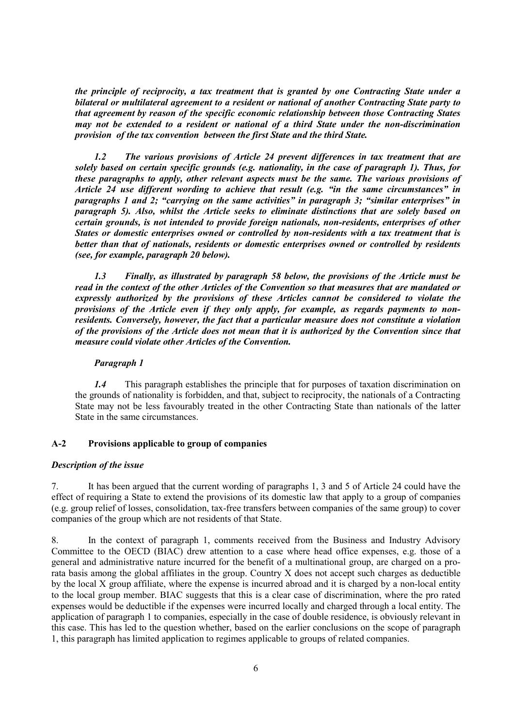*the principle of reciprocity, a tax treatment that is granted by one Contracting State under a bilateral or multilateral agreement to a resident or national of another Contracting State party to that agreement by reason of the specific economic relationship between those Contracting States may not be extended to a resident or national of a third State under the non-discrimination provision of the tax convention between the first State and the third State.* 

*1.2 The various provisions of Article 24 prevent differences in tax treatment that are solely based on certain specific grounds (e.g. nationality, in the case of paragraph 1). Thus, for these paragraphs to apply, other relevant aspects must be the same. The various provisions of Article 24 use different wording to achieve that result (e.g. "in the same circumstances" in paragraphs 1 and 2; "carrying on the same activities" in paragraph 3; "similar enterprises" in paragraph 5). Also, whilst the Article seeks to eliminate distinctions that are solely based on certain grounds, is not intended to provide foreign nationals, non-residents, enterprises of other States or domestic enterprises owned or controlled by non-residents with a tax treatment that is better than that of nationals, residents or domestic enterprises owned or controlled by residents (see, for example, paragraph 20 below).* 

*1.3 Finally, as illustrated by paragraph 58 below, the provisions of the Article must be read in the context of the other Articles of the Convention so that measures that are mandated or expressly authorized by the provisions of these Articles cannot be considered to violate the provisions of the Article even if they only apply, for example, as regards payments to nonresidents. Conversely, however, the fact that a particular measure does not constitute a violation of the provisions of the Article does not mean that it is authorized by the Convention since that measure could violate other Articles of the Convention.* 

#### *Paragraph 1*

*1.4* This paragraph establishes the principle that for purposes of taxation discrimination on the grounds of nationality is forbidden, and that, subject to reciprocity, the nationals of a Contracting State may not be less favourably treated in the other Contracting State than nationals of the latter State in the same circumstances.

## **A-2 Provisions applicable to group of companies**

#### *Description of the issue*

7. It has been argued that the current wording of paragraphs 1, 3 and 5 of Article 24 could have the effect of requiring a State to extend the provisions of its domestic law that apply to a group of companies (e.g. group relief of losses, consolidation, tax-free transfers between companies of the same group) to cover companies of the group which are not residents of that State.

8. In the context of paragraph 1, comments received from the Business and Industry Advisory Committee to the OECD (BIAC) drew attention to a case where head office expenses, e.g. those of a general and administrative nature incurred for the benefit of a multinational group, are charged on a prorata basis among the global affiliates in the group. Country X does not accept such charges as deductible by the local X group affiliate, where the expense is incurred abroad and it is charged by a non-local entity to the local group member. BIAC suggests that this is a clear case of discrimination, where the pro rated expenses would be deductible if the expenses were incurred locally and charged through a local entity. The application of paragraph 1 to companies, especially in the case of double residence, is obviously relevant in this case. This has led to the question whether, based on the earlier conclusions on the scope of paragraph 1, this paragraph has limited application to regimes applicable to groups of related companies.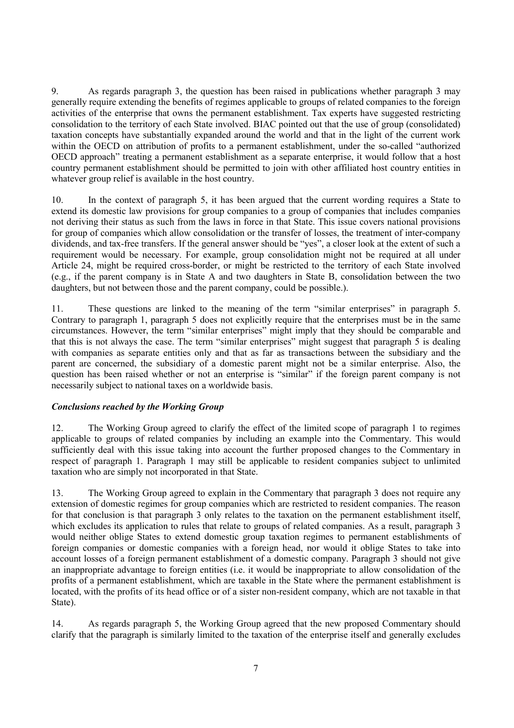9. As regards paragraph 3, the question has been raised in publications whether paragraph 3 may generally require extending the benefits of regimes applicable to groups of related companies to the foreign activities of the enterprise that owns the permanent establishment. Tax experts have suggested restricting consolidation to the territory of each State involved. BIAC pointed out that the use of group (consolidated) taxation concepts have substantially expanded around the world and that in the light of the current work within the OECD on attribution of profits to a permanent establishment, under the so-called "authorized OECD approach" treating a permanent establishment as a separate enterprise, it would follow that a host country permanent establishment should be permitted to join with other affiliated host country entities in whatever group relief is available in the host country.

10. In the context of paragraph 5, it has been argued that the current wording requires a State to extend its domestic law provisions for group companies to a group of companies that includes companies not deriving their status as such from the laws in force in that State. This issue covers national provisions for group of companies which allow consolidation or the transfer of losses, the treatment of inter-company dividends, and tax-free transfers. If the general answer should be "yes", a closer look at the extent of such a requirement would be necessary. For example, group consolidation might not be required at all under Article 24, might be required cross-border, or might be restricted to the territory of each State involved (e.g., if the parent company is in State A and two daughters in State B, consolidation between the two daughters, but not between those and the parent company, could be possible.).

11. These questions are linked to the meaning of the term "similar enterprises" in paragraph 5. Contrary to paragraph 1, paragraph 5 does not explicitly require that the enterprises must be in the same circumstances. However, the term "similar enterprises" might imply that they should be comparable and that this is not always the case. The term "similar enterprises" might suggest that paragraph 5 is dealing with companies as separate entities only and that as far as transactions between the subsidiary and the parent are concerned, the subsidiary of a domestic parent might not be a similar enterprise. Also, the question has been raised whether or not an enterprise is "similar" if the foreign parent company is not necessarily subject to national taxes on a worldwide basis.

# *Conclusions reached by the Working Group*

12. The Working Group agreed to clarify the effect of the limited scope of paragraph 1 to regimes applicable to groups of related companies by including an example into the Commentary. This would sufficiently deal with this issue taking into account the further proposed changes to the Commentary in respect of paragraph 1. Paragraph 1 may still be applicable to resident companies subject to unlimited taxation who are simply not incorporated in that State.

13. The Working Group agreed to explain in the Commentary that paragraph 3 does not require any extension of domestic regimes for group companies which are restricted to resident companies. The reason for that conclusion is that paragraph 3 only relates to the taxation on the permanent establishment itself, which excludes its application to rules that relate to groups of related companies. As a result, paragraph 3 would neither oblige States to extend domestic group taxation regimes to permanent establishments of foreign companies or domestic companies with a foreign head, nor would it oblige States to take into account losses of a foreign permanent establishment of a domestic company. Paragraph 3 should not give an inappropriate advantage to foreign entities (i.e. it would be inappropriate to allow consolidation of the profits of a permanent establishment, which are taxable in the State where the permanent establishment is located, with the profits of its head office or of a sister non-resident company, which are not taxable in that State).

14. As regards paragraph 5, the Working Group agreed that the new proposed Commentary should clarify that the paragraph is similarly limited to the taxation of the enterprise itself and generally excludes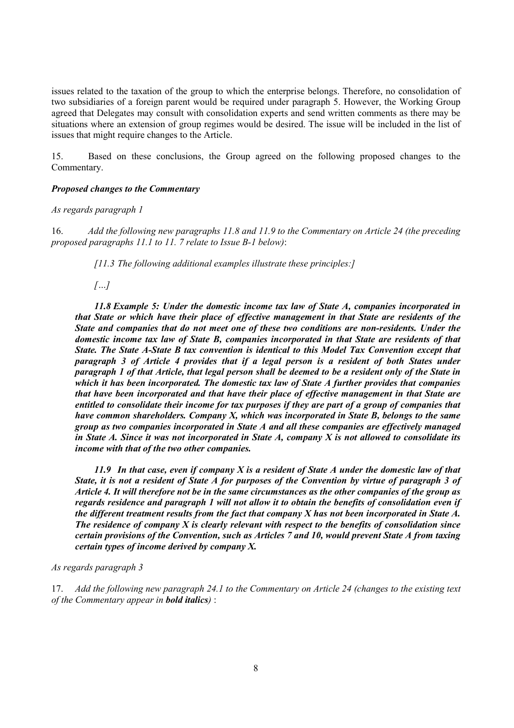issues related to the taxation of the group to which the enterprise belongs. Therefore, no consolidation of two subsidiaries of a foreign parent would be required under paragraph 5. However, the Working Group agreed that Delegates may consult with consolidation experts and send written comments as there may be situations where an extension of group regimes would be desired. The issue will be included in the list of issues that might require changes to the Article.

15. Based on these conclusions, the Group agreed on the following proposed changes to the Commentary.

#### *Proposed changes to the Commentary*

#### *As regards paragraph 1*

16. *Add the following new paragraphs 11.8 and 11.9 to the Commentary on Article 24 (the preceding proposed paragraphs 11.1 to 11. 7 relate to Issue B-1 below)*:

*[11.3 The following additional examples illustrate these principles:]* 

*[…]* 

*11.8 Example 5: Under the domestic income tax law of State A, companies incorporated in that State or which have their place of effective management in that State are residents of the State and companies that do not meet one of these two conditions are non-residents. Under the domestic income tax law of State B, companies incorporated in that State are residents of that State. The State A-State B tax convention is identical to this Model Tax Convention except that paragraph 3 of Article 4 provides that if a legal person is a resident of both States under paragraph 1 of that Article, that legal person shall be deemed to be a resident only of the State in which it has been incorporated. The domestic tax law of State A further provides that companies that have been incorporated and that have their place of effective management in that State are entitled to consolidate their income for tax purposes if they are part of a group of companies that have common shareholders. Company X, which was incorporated in State B, belongs to the same group as two companies incorporated in State A and all these companies are effectively managed in State A. Since it was not incorporated in State A, company X is not allowed to consolidate its income with that of the two other companies.* 

*11.9 In that case, even if company X is a resident of State A under the domestic law of that State, it is not a resident of State A for purposes of the Convention by virtue of paragraph 3 of Article 4. It will therefore not be in the same circumstances as the other companies of the group as regards residence and paragraph 1 will not allow it to obtain the benefits of consolidation even if the different treatment results from the fact that company X has not been incorporated in State A. The residence of company X is clearly relevant with respect to the benefits of consolidation since certain provisions of the Convention, such as Articles 7 and 10, would prevent State A from taxing certain types of income derived by company X.* 

*As regards paragraph 3* 

17. *Add the following new paragraph 24.1 to the Commentary on Article 24 (changes to the existing text of the Commentary appear in bold italics)* :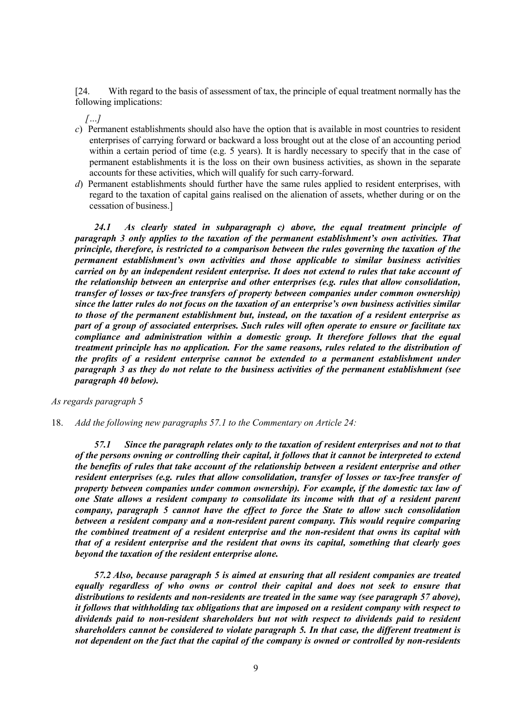[24. With regard to the basis of assessment of tax, the principle of equal treatment normally has the following implications:

 *[…]*

- *c*) Permanent establishments should also have the option that is available in most countries to resident enterprises of carrying forward or backward a loss brought out at the close of an accounting period within a certain period of time (e.g. 5 years). It is hardly necessary to specify that in the case of permanent establishments it is the loss on their own business activities, as shown in the separate accounts for these activities, which will qualify for such carry-forward.
- *d*) Permanent establishments should further have the same rules applied to resident enterprises, with regard to the taxation of capital gains realised on the alienation of assets, whether during or on the cessation of business.]

*24.1 As clearly stated in subparagraph c) above, the equal treatment principle of paragraph 3 only applies to the taxation of the permanent establishment's own activities. That principle, therefore, is restricted to a comparison between the rules governing the taxation of the permanent establishment's own activities and those applicable to similar business activities carried on by an independent resident enterprise. It does not extend to rules that take account of the relationship between an enterprise and other enterprises (e.g. rules that allow consolidation, transfer of losses or tax-free transfers of property between companies under common ownership) since the latter rules do not focus on the taxation of an enterprise's own business activities similar to those of the permanent establishment but, instead, on the taxation of a resident enterprise as part of a group of associated enterprises. Such rules will often operate to ensure or facilitate tax compliance and administration within a domestic group. It therefore follows that the equal treatment principle has no application. For the same reasons, rules related to the distribution of the profits of a resident enterprise cannot be extended to a permanent establishment under paragraph 3 as they do not relate to the business activities of the permanent establishment (see paragraph 40 below).* 

*As regards paragraph 5* 

18. *Add the following new paragraphs 57.1 to the Commentary on Article 24:* 

*Since the paragraph relates only to the taxation of resident enterprises and not to that of the persons owning or controlling their capital, it follows that it cannot be interpreted to extend the benefits of rules that take account of the relationship between a resident enterprise and other resident enterprises (e.g. rules that allow consolidation, transfer of losses or tax-free transfer of property between companies under common ownership). For example, if the domestic tax law of one State allows a resident company to consolidate its income with that of a resident parent company, paragraph 5 cannot have the effect to force the State to allow such consolidation between a resident company and a non-resident parent company. This would require comparing the combined treatment of a resident enterprise and the non-resident that owns its capital with that of a resident enterprise and the resident that owns its capital, something that clearly goes beyond the taxation of the resident enterprise alone.* 

*57.2 Also, because paragraph 5 is aimed at ensuring that all resident companies are treated equally regardless of who owns or control their capital and does not seek to ensure that distributions to residents and non-residents are treated in the same way (see paragraph 57 above), it follows that withholding tax obligations that are imposed on a resident company with respect to dividends paid to non-resident shareholders but not with respect to dividends paid to resident shareholders cannot be considered to violate paragraph 5. In that case, the different treatment is not dependent on the fact that the capital of the company is owned or controlled by non-residents*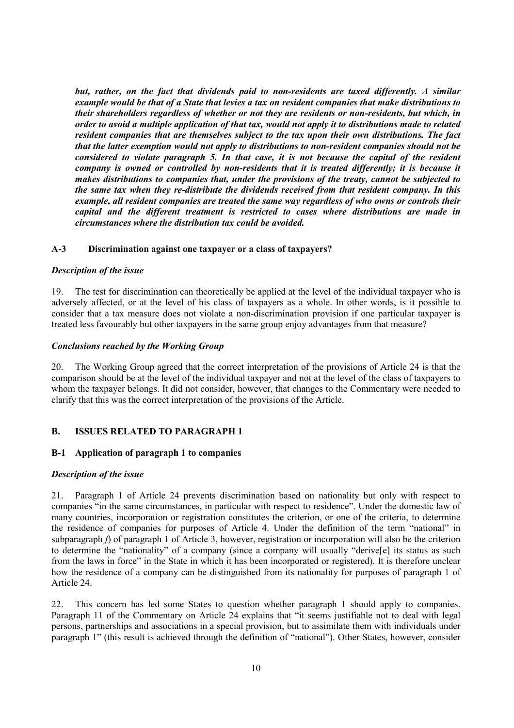*but, rather, on the fact that dividends paid to non-residents are taxed differently. A similar example would be that of a State that levies a tax on resident companies that make distributions to their shareholders regardless of whether or not they are residents or non-residents, but which, in order to avoid a multiple application of that tax, would not apply it to distributions made to related resident companies that are themselves subject to the tax upon their own distributions. The fact that the latter exemption would not apply to distributions to non-resident companies should not be considered to violate paragraph 5. In that case, it is not because the capital of the resident company is owned or controlled by non-residents that it is treated differently; it is because it makes distributions to companies that, under the provisions of the treaty, cannot be subjected to the same tax when they re-distribute the dividends received from that resident company. In this example, all resident companies are treated the same way regardless of who owns or controls their capital and the different treatment is restricted to cases where distributions are made in circumstances where the distribution tax could be avoided.* 

## **A-3 Discrimination against one taxpayer or a class of taxpayers?**

#### *Description of the issue*

19. The test for discrimination can theoretically be applied at the level of the individual taxpayer who is adversely affected, or at the level of his class of taxpayers as a whole. In other words, is it possible to consider that a tax measure does not violate a non-discrimination provision if one particular taxpayer is treated less favourably but other taxpayers in the same group enjoy advantages from that measure?

#### *Conclusions reached by the Working Group*

20. The Working Group agreed that the correct interpretation of the provisions of Article 24 is that the comparison should be at the level of the individual taxpayer and not at the level of the class of taxpayers to whom the taxpayer belongs. It did not consider, however, that changes to the Commentary were needed to clarify that this was the correct interpretation of the provisions of the Article.

## **B. ISSUES RELATED TO PARAGRAPH 1**

#### **B-1 Application of paragraph 1 to companies**

#### *Description of the issue*

21. Paragraph 1 of Article 24 prevents discrimination based on nationality but only with respect to companies "in the same circumstances, in particular with respect to residence". Under the domestic law of many countries, incorporation or registration constitutes the criterion, or one of the criteria, to determine the residence of companies for purposes of Article 4. Under the definition of the term "national" in subparagraph *f*) of paragraph 1 of Article 3, however, registration or incorporation will also be the criterion to determine the "nationality" of a company (since a company will usually "derive[e] its status as such from the laws in force" in the State in which it has been incorporated or registered). It is therefore unclear how the residence of a company can be distinguished from its nationality for purposes of paragraph 1 of Article 24.

22. This concern has led some States to question whether paragraph 1 should apply to companies. Paragraph 11 of the Commentary on Article 24 explains that "it seems justifiable not to deal with legal persons, partnerships and associations in a special provision, but to assimilate them with individuals under paragraph 1" (this result is achieved through the definition of "national"). Other States, however, consider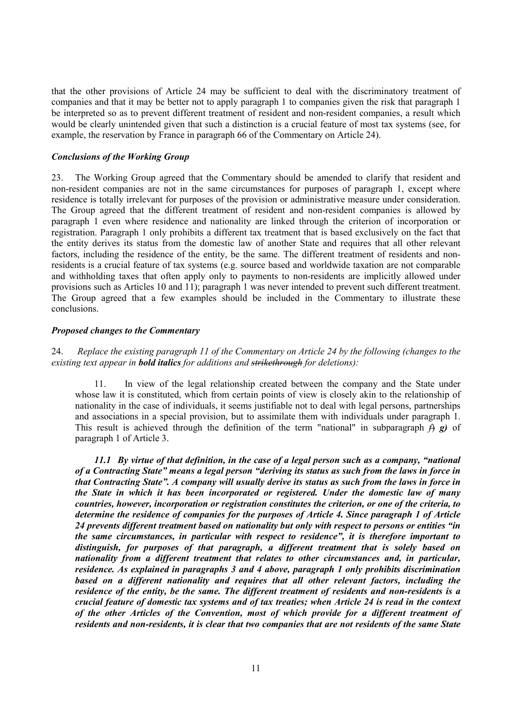that the other provisions of Article 24 may be sufficient to deal with the discriminatory treatment of companies and that it may be better not to apply paragraph 1 to companies given the risk that paragraph 1 be interpreted so as to prevent different treatment of resident and non-resident companies, a result which would be clearly unintended given that such a distinction is a crucial feature of most tax systems (see, for example, the reservation by France in paragraph 66 of the Commentary on Article 24).

#### *Conclusions of the Working Group*

23. The Working Group agreed that the Commentary should be amended to clarify that resident and non-resident companies are not in the same circumstances for purposes of paragraph 1, except where residence is totally irrelevant for purposes of the provision or administrative measure under consideration. The Group agreed that the different treatment of resident and non-resident companies is allowed by paragraph 1 even where residence and nationality are linked through the criterion of incorporation or registration. Paragraph 1 only prohibits a different tax treatment that is based exclusively on the fact that the entity derives its status from the domestic law of another State and requires that all other relevant factors, including the residence of the entity, be the same. The different treatment of residents and nonresidents is a crucial feature of tax systems (e.g. source based and worldwide taxation are not comparable and withholding taxes that often apply only to payments to non-residents are implicitly allowed under provisions such as Articles 10 and 11); paragraph 1 was never intended to prevent such different treatment. The Group agreed that a few examples should be included in the Commentary to illustrate these conclusions.

#### *Proposed changes to the Commentary*

## 24. *Replace the existing paragraph 11 of the Commentary on Article 24 by the following (changes to the existing text appear in bold italics for additions and strikethrough for deletions):*

11. In view of the legal relationship created between the company and the State under whose law it is constituted, which from certain points of view is closely akin to the relationship of nationality in the case of individuals, it seems justifiable not to deal with legal persons, partnerships and associations in a special provision, but to assimilate them with individuals under paragraph 1. This result is achieved through the definition of the term "national" in subparagraph  $\hat{A}$  **g**) of paragraph 1 of Article 3.

*11.1 By virtue of that definition, in the case of a legal person such as a company, "national of a Contracting State" means a legal person "deriving its status as such from the laws in force in that Contracting State". A company will usually derive its status as such from the laws in force in the State in which it has been incorporated or registered. Under the domestic law of many countries, however, incorporation or registration constitutes the criterion, or one of the criteria, to determine the residence of companies for the purposes of Article 4. Since paragraph 1 of Article 24 prevents different treatment based on nationality but only with respect to persons or entities "in the same circumstances, in particular with respect to residence", it is therefore important to distinguish, for purposes of that paragraph, a different treatment that is solely based on nationality from a different treatment that relates to other circumstances and, in particular, residence. As explained in paragraphs 3 and 4 above, paragraph 1 only prohibits discrimination based on a different nationality and requires that all other relevant factors, including the residence of the entity, be the same. The different treatment of residents and non-residents is a crucial feature of domestic tax systems and of tax treaties; when Article 24 is read in the context of the other Articles of the Convention, most of which provide for a different treatment of residents and non-residents, it is clear that two companies that are not residents of the same State*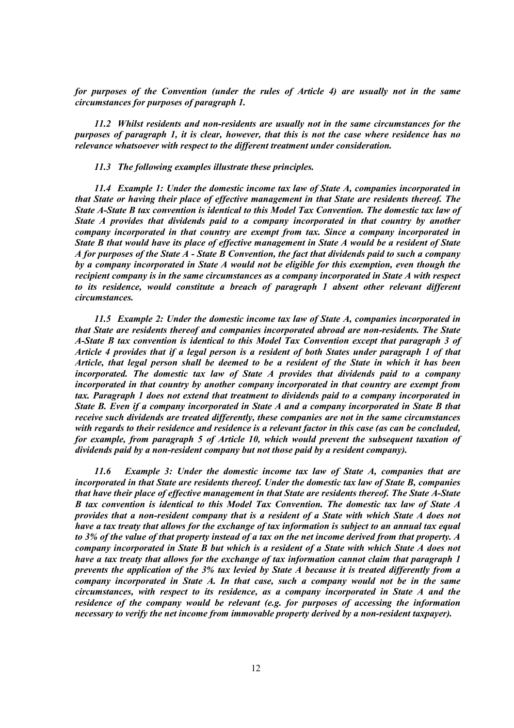*for purposes of the Convention (under the rules of Article 4) are usually not in the same circumstances for purposes of paragraph 1.* 

*11.2 Whilst residents and non-residents are usually not in the same circumstances for the purposes of paragraph 1, it is clear, however, that this is not the case where residence has no relevance whatsoever with respect to the different treatment under consideration.* 

*11.3 The following examples illustrate these principles.* 

*11.4 Example 1: Under the domestic income tax law of State A, companies incorporated in that State or having their place of effective management in that State are residents thereof. The State A-State B tax convention is identical to this Model Tax Convention. The domestic tax law of State A provides that dividends paid to a company incorporated in that country by another company incorporated in that country are exempt from tax. Since a company incorporated in State B that would have its place of effective management in State A would be a resident of State A for purposes of the State A - State B Convention, the fact that dividends paid to such a company by a company incorporated in State A would not be eligible for this exemption, even though the recipient company is in the same circumstances as a company incorporated in State A with respect*  to its residence, would constitute a breach of paragraph 1 absent other relevant different *circumstances.* 

*11.5 Example 2: Under the domestic income tax law of State A, companies incorporated in that State are residents thereof and companies incorporated abroad are non-residents. The State A-State B tax convention is identical to this Model Tax Convention except that paragraph 3 of Article 4 provides that if a legal person is a resident of both States under paragraph 1 of that Article, that legal person shall be deemed to be a resident of the State in which it has been incorporated. The domestic tax law of State A provides that dividends paid to a company incorporated in that country by another company incorporated in that country are exempt from tax. Paragraph 1 does not extend that treatment to dividends paid to a company incorporated in State B. Even if a company incorporated in State A and a company incorporated in State B that receive such dividends are treated differently, these companies are not in the same circumstances with regards to their residence and residence is a relevant factor in this case (as can be concluded, for example, from paragraph 5 of Article 10, which would prevent the subsequent taxation of dividends paid by a non-resident company but not those paid by a resident company).* 

*11.6 Example 3: Under the domestic income tax law of State A, companies that are incorporated in that State are residents thereof. Under the domestic tax law of State B, companies that have their place of effective management in that State are residents thereof. The State A-State B tax convention is identical to this Model Tax Convention. The domestic tax law of State A provides that a non-resident company that is a resident of a State with which State A does not have a tax treaty that allows for the exchange of tax information is subject to an annual tax equal to 3% of the value of that property instead of a tax on the net income derived from that property. A company incorporated in State B but which is a resident of a State with which State A does not have a tax treaty that allows for the exchange of tax information cannot claim that paragraph 1 prevents the application of the 3% tax levied by State A because it is treated differently from a company incorporated in State A. In that case, such a company would not be in the same circumstances, with respect to its residence, as a company incorporated in State A and the residence of the company would be relevant (e.g. for purposes of accessing the information necessary to verify the net income from immovable property derived by a non-resident taxpayer).*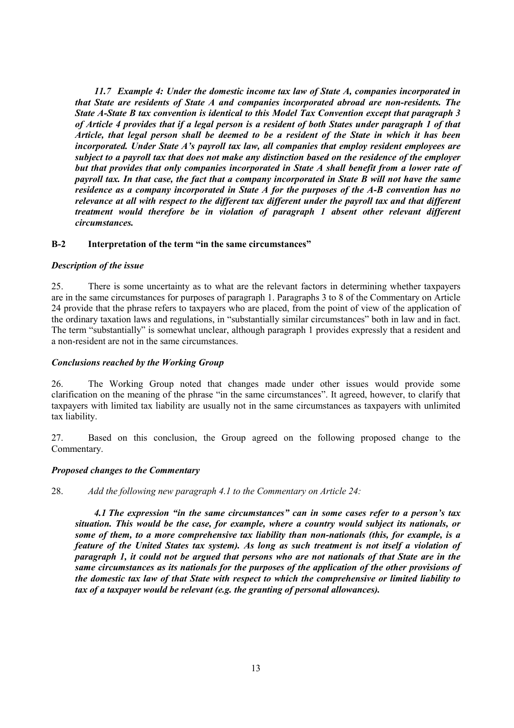*11.7 Example 4: Under the domestic income tax law of State A, companies incorporated in that State are residents of State A and companies incorporated abroad are non-residents. The State A-State B tax convention is identical to this Model Tax Convention except that paragraph 3 of Article 4 provides that if a legal person is a resident of both States under paragraph 1 of that Article, that legal person shall be deemed to be a resident of the State in which it has been incorporated. Under State A's payroll tax law, all companies that employ resident employees are subject to a payroll tax that does not make any distinction based on the residence of the employer but that provides that only companies incorporated in State A shall benefit from a lower rate of payroll tax. In that case, the fact that a company incorporated in State B will not have the same residence as a company incorporated in State A for the purposes of the A-B convention has no relevance at all with respect to the different tax different under the payroll tax and that different treatment would therefore be in violation of paragraph 1 absent other relevant different circumstances.* 

#### **B-2 Interpretation of the term "in the same circumstances"**

#### *Description of the issue*

25. There is some uncertainty as to what are the relevant factors in determining whether taxpayers are in the same circumstances for purposes of paragraph 1. Paragraphs 3 to 8 of the Commentary on Article 24 provide that the phrase refers to taxpayers who are placed, from the point of view of the application of the ordinary taxation laws and regulations, in "substantially similar circumstances" both in law and in fact. The term "substantially" is somewhat unclear, although paragraph 1 provides expressly that a resident and a non-resident are not in the same circumstances.

#### *Conclusions reached by the Working Group*

26. The Working Group noted that changes made under other issues would provide some clarification on the meaning of the phrase "in the same circumstances". It agreed, however, to clarify that taxpayers with limited tax liability are usually not in the same circumstances as taxpayers with unlimited tax liability.

27. Based on this conclusion, the Group agreed on the following proposed change to the Commentary.

#### *Proposed changes to the Commentary*

28. *Add the following new paragraph 4.1 to the Commentary on Article 24:* 

*4.1 The expression "in the same circumstances" can in some cases refer to a person's tax situation. This would be the case, for example, where a country would subject its nationals, or some of them, to a more comprehensive tax liability than non-nationals (this, for example, is a feature of the United States tax system). As long as such treatment is not itself a violation of paragraph 1, it could not be argued that persons who are not nationals of that State are in the same circumstances as its nationals for the purposes of the application of the other provisions of the domestic tax law of that State with respect to which the comprehensive or limited liability to tax of a taxpayer would be relevant (e.g. the granting of personal allowances).*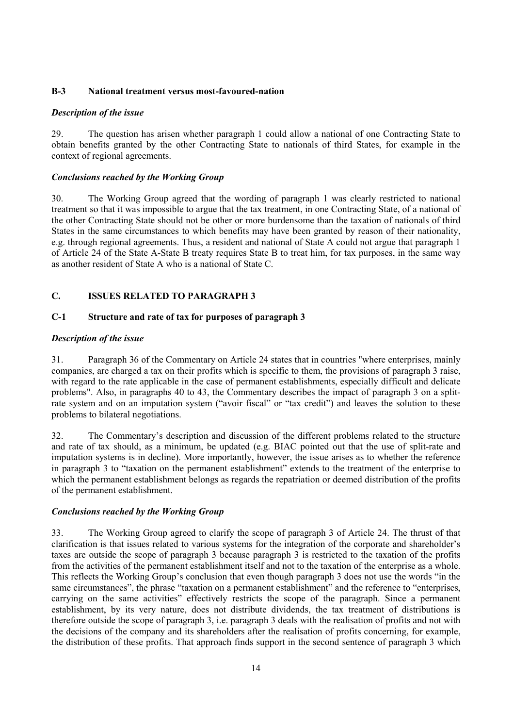# **B-3 National treatment versus most-favoured-nation**

#### *Description of the issue*

29. The question has arisen whether paragraph 1 could allow a national of one Contracting State to obtain benefits granted by the other Contracting State to nationals of third States, for example in the context of regional agreements.

## *Conclusions reached by the Working Group*

30. The Working Group agreed that the wording of paragraph 1 was clearly restricted to national treatment so that it was impossible to argue that the tax treatment, in one Contracting State, of a national of the other Contracting State should not be other or more burdensome than the taxation of nationals of third States in the same circumstances to which benefits may have been granted by reason of their nationality, e.g. through regional agreements. Thus, a resident and national of State A could not argue that paragraph 1 of Article 24 of the State A-State B treaty requires State B to treat him, for tax purposes, in the same way as another resident of State A who is a national of State C.

# **C. ISSUES RELATED TO PARAGRAPH 3**

# **C-1 Structure and rate of tax for purposes of paragraph 3**

#### *Description of the issue*

31. Paragraph 36 of the Commentary on Article 24 states that in countries "where enterprises, mainly companies, are charged a tax on their profits which is specific to them, the provisions of paragraph 3 raise, with regard to the rate applicable in the case of permanent establishments, especially difficult and delicate problems". Also, in paragraphs 40 to 43, the Commentary describes the impact of paragraph 3 on a splitrate system and on an imputation system ("avoir fiscal" or "tax credit") and leaves the solution to these problems to bilateral negotiations.

32. The Commentary's description and discussion of the different problems related to the structure and rate of tax should, as a minimum, be updated (e.g. BIAC pointed out that the use of split-rate and imputation systems is in decline). More importantly, however, the issue arises as to whether the reference in paragraph 3 to "taxation on the permanent establishment" extends to the treatment of the enterprise to which the permanent establishment belongs as regards the repatriation or deemed distribution of the profits of the permanent establishment.

## *Conclusions reached by the Working Group*

33. The Working Group agreed to clarify the scope of paragraph 3 of Article 24. The thrust of that clarification is that issues related to various systems for the integration of the corporate and shareholder's taxes are outside the scope of paragraph 3 because paragraph 3 is restricted to the taxation of the profits from the activities of the permanent establishment itself and not to the taxation of the enterprise as a whole. This reflects the Working Group's conclusion that even though paragraph 3 does not use the words "in the same circumstances", the phrase "taxation on a permanent establishment" and the reference to "enterprises, carrying on the same activities" effectively restricts the scope of the paragraph. Since a permanent establishment, by its very nature, does not distribute dividends, the tax treatment of distributions is therefore outside the scope of paragraph 3, i.e. paragraph 3 deals with the realisation of profits and not with the decisions of the company and its shareholders after the realisation of profits concerning, for example, the distribution of these profits. That approach finds support in the second sentence of paragraph 3 which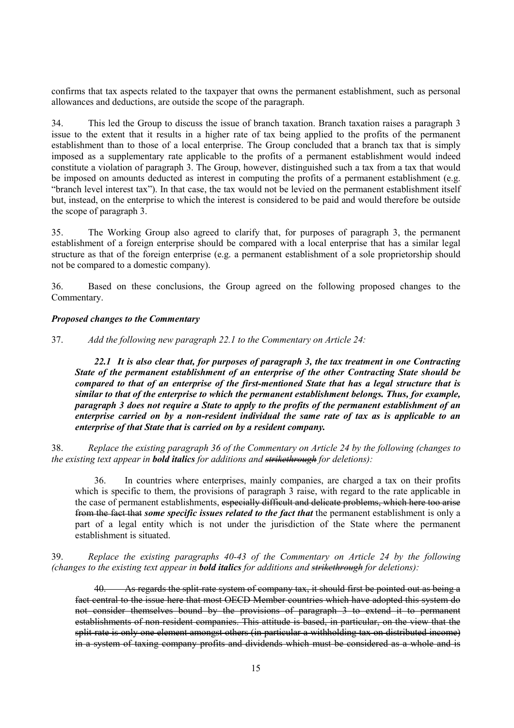confirms that tax aspects related to the taxpayer that owns the permanent establishment, such as personal allowances and deductions, are outside the scope of the paragraph.

34. This led the Group to discuss the issue of branch taxation. Branch taxation raises a paragraph 3 issue to the extent that it results in a higher rate of tax being applied to the profits of the permanent establishment than to those of a local enterprise. The Group concluded that a branch tax that is simply imposed as a supplementary rate applicable to the profits of a permanent establishment would indeed constitute a violation of paragraph 3. The Group, however, distinguished such a tax from a tax that would be imposed on amounts deducted as interest in computing the profits of a permanent establishment (e.g. "branch level interest tax"). In that case, the tax would not be levied on the permanent establishment itself but, instead, on the enterprise to which the interest is considered to be paid and would therefore be outside the scope of paragraph 3.

35. The Working Group also agreed to clarify that, for purposes of paragraph 3, the permanent establishment of a foreign enterprise should be compared with a local enterprise that has a similar legal structure as that of the foreign enterprise (e.g. a permanent establishment of a sole proprietorship should not be compared to a domestic company).

36. Based on these conclusions, the Group agreed on the following proposed changes to the Commentary.

## *Proposed changes to the Commentary*

37. *Add the following new paragraph 22.1 to the Commentary on Article 24:* 

*22.1 It is also clear that, for purposes of paragraph 3, the tax treatment in one Contracting State of the permanent establishment of an enterprise of the other Contracting State should be compared to that of an enterprise of the first-mentioned State that has a legal structure that is similar to that of the enterprise to which the permanent establishment belongs. Thus, for example, paragraph 3 does not require a State to apply to the profits of the permanent establishment of an enterprise carried on by a non-resident individual the same rate of tax as is applicable to an enterprise of that State that is carried on by a resident company.*

38. *Replace the existing paragraph 36 of the Commentary on Article 24 by the following (changes to the existing text appear in bold italics for additions and strikethrough for deletions):* 

36.In countries where enterprises, mainly companies, are charged a tax on their profits which is specific to them, the provisions of paragraph 3 raise, with regard to the rate applicable in the case of permanent establishments, especially difficult and delicate problems, which here too arise from the fact that *some specific issues related to the fact that* the permanent establishment is only a part of a legal entity which is not under the jurisdiction of the State where the permanent establishment is situated.

39. *Replace the existing paragraphs 40-43 of the Commentary on Article 24 by the following (changes to the existing text appear in bold italics for additions and strikethrough for deletions):* 

40. As regards the split-rate system of company tax, it should first be pointed out as being a fact central to the issue here that most OECD Member countries which have adopted this system do not consider themselves bound by the provisions of paragraph 3 to extend it to permanent establishments of non-resident companies. This attitude is based, in particular, on the view that the split-rate is only one element amongst others (in particular a withholding tax on distributed income) in a system of taxing company profits and dividends which must be considered as a whole and is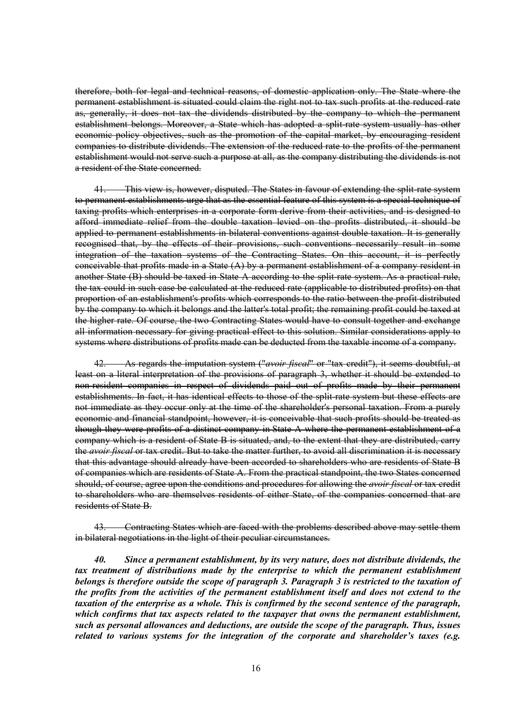therefore, both for legal and technical reasons, of domestic application only. The State where the permanent establishment is situated could claim the right not to tax such profits at the reduced rate as, generally, it does not tax the dividends distributed by the company to which the permanent establishment belongs. Moreover, a State which has adopted a split-rate system usually has other economic policy objectives, such as the promotion of the capital market, by encouraging resident companies to distribute dividends. The extension of the reduced rate to the profits of the permanent establishment would not serve such a purpose at all, as the company distributing the dividends is not a resident of the State concerned.

This view is, however, disputed. The States in favour of extending the split-rate system to permanent establishments urge that as the essential feature of this system is a special technique of taxing profits which enterprises in a corporate form derive from their activities, and is designed to afford immediate relief from the double taxation levied on the profits distributed, it should be applied to permanent establishments in bilateral conventions against double taxation. It is generally recognised that, by the effects of their provisions, such conventions necessarily result in some integration of the taxation systems of the Contracting States. On this account, it is perfectly conceivable that profits made in a State  $(A)$  by a permanent establishment of a company resident in another State (B) should be taxed in State A according to the split-rate system. As a practical rule, the tax could in such case be calculated at the reduced rate (applicable to distributed profits) on that proportion of an establishment's profits which corresponds to the ratio between the profit distributed by the company to which it belongs and the latter's total profit; the remaining profit could be taxed at the higher rate. Of course, the two Contracting States would have to consult together and exchange all information necessary for giving practical effect to this solution. Similar considerations apply to systems where distributions of profits made can be deducted from the taxable income of a company.

42. As regards the imputation system ("*avoir fiscal*" or "tax credit"), it seems doubtful, at least on a literal interpretation of the provisions of paragraph 3, whether it should be extended to non-resident companies in respect of dividends paid out of profits made by their permanent establishments. In fact, it has identical effects to those of the split-rate system but these effects are not immediate as they occur only at the time of the shareholder's personal taxation. From a purely economic and financial standpoint, however, it is conceivable that such profits should be treated as though they were profits of a distinct company in State A where the permanent establishment of a company which is a resident of State B is situated, and, to the extent that they are distributed, carry the *avoir fiscal* or tax credit. But to take the matter further, to avoid all discrimination it is necessary that this advantage should already have been accorded to shareholders who are residents of State B of companies which are residents of State A. From the practical standpoint, the two States concerned should, of course, agree upon the conditions and procedures for allowing the *avoir fiscal* or tax credit to shareholders who are themselves residents of either State, of the companies concerned that are residents of State B.

43. Contracting States which are faced with the problems described above may settle them in bilateral negotiations in the light of their peculiar circumstances.

*40. Since a permanent establishment, by its very nature, does not distribute dividends, the tax treatment of distributions made by the enterprise to which the permanent establishment belongs is therefore outside the scope of paragraph 3. Paragraph 3 is restricted to the taxation of the profits from the activities of the permanent establishment itself and does not extend to the taxation of the enterprise as a whole. This is confirmed by the second sentence of the paragraph, which confirms that tax aspects related to the taxpayer that owns the permanent establishment, such as personal allowances and deductions, are outside the scope of the paragraph. Thus, issues related to various systems for the integration of the corporate and shareholder's taxes (e.g.*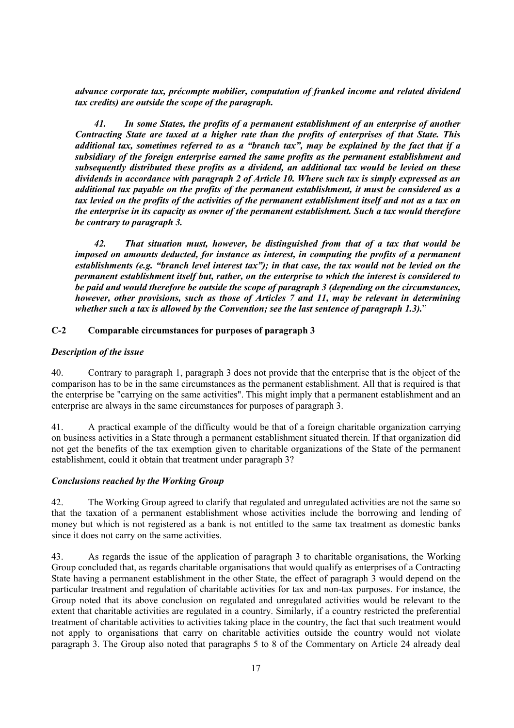*advance corporate tax, précompte mobilier, computation of franked income and related dividend tax credits) are outside the scope of the paragraph.* 

*41. In some States, the profits of a permanent establishment of an enterprise of another Contracting State are taxed at a higher rate than the profits of enterprises of that State. This additional tax, sometimes referred to as a "branch tax", may be explained by the fact that if a subsidiary of the foreign enterprise earned the same profits as the permanent establishment and subsequently distributed these profits as a dividend, an additional tax would be levied on these dividends in accordance with paragraph 2 of Article 10. Where such tax is simply expressed as an additional tax payable on the profits of the permanent establishment, it must be considered as a tax levied on the profits of the activities of the permanent establishment itself and not as a tax on the enterprise in its capacity as owner of the permanent establishment. Such a tax would therefore be contrary to paragraph 3.* 

*42. That situation must, however, be distinguished from that of a tax that would be imposed on amounts deducted, for instance as interest, in computing the profits of a permanent establishments (e.g. "branch level interest tax"); in that case, the tax would not be levied on the permanent establishment itself but, rather, on the enterprise to which the interest is considered to be paid and would therefore be outside the scope of paragraph 3 (depending on the circumstances, however, other provisions, such as those of Articles 7 and 11, may be relevant in determining whether such a tax is allowed by the Convention; see the last sentence of paragraph 1.3).*"

## **C-2 Comparable circumstances for purposes of paragraph 3**

#### *Description of the issue*

40. Contrary to paragraph 1, paragraph 3 does not provide that the enterprise that is the object of the comparison has to be in the same circumstances as the permanent establishment. All that is required is that the enterprise be "carrying on the same activities". This might imply that a permanent establishment and an enterprise are always in the same circumstances for purposes of paragraph 3.

41. A practical example of the difficulty would be that of a foreign charitable organization carrying on business activities in a State through a permanent establishment situated therein. If that organization did not get the benefits of the tax exemption given to charitable organizations of the State of the permanent establishment, could it obtain that treatment under paragraph 3?

# *Conclusions reached by the Working Group*

42. The Working Group agreed to clarify that regulated and unregulated activities are not the same so that the taxation of a permanent establishment whose activities include the borrowing and lending of money but which is not registered as a bank is not entitled to the same tax treatment as domestic banks since it does not carry on the same activities.

43. As regards the issue of the application of paragraph 3 to charitable organisations, the Working Group concluded that, as regards charitable organisations that would qualify as enterprises of a Contracting State having a permanent establishment in the other State, the effect of paragraph 3 would depend on the particular treatment and regulation of charitable activities for tax and non-tax purposes. For instance, the Group noted that its above conclusion on regulated and unregulated activities would be relevant to the extent that charitable activities are regulated in a country. Similarly, if a country restricted the preferential treatment of charitable activities to activities taking place in the country, the fact that such treatment would not apply to organisations that carry on charitable activities outside the country would not violate paragraph 3. The Group also noted that paragraphs 5 to 8 of the Commentary on Article 24 already deal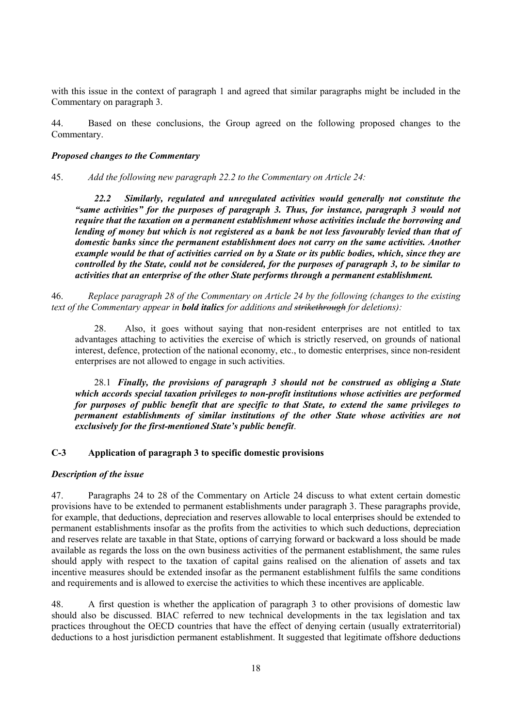with this issue in the context of paragraph 1 and agreed that similar paragraphs might be included in the Commentary on paragraph 3.

44. Based on these conclusions, the Group agreed on the following proposed changes to the Commentary.

#### *Proposed changes to the Commentary*

45. *Add the following new paragraph 22.2 to the Commentary on Article 24:* 

*22.2 Similarly, regulated and unregulated activities would generally not constitute the "same activities" for the purposes of paragraph 3. Thus, for instance, paragraph 3 would not require that the taxation on a permanent establishment whose activities include the borrowing and lending of money but which is not registered as a bank be not less favourably levied than that of domestic banks since the permanent establishment does not carry on the same activities. Another example would be that of activities carried on by a State or its public bodies, which, since they are controlled by the State, could not be considered, for the purposes of paragraph 3, to be similar to activities that an enterprise of the other State performs through a permanent establishment.*

46. *Replace paragraph 28 of the Commentary on Article 24 by the following (changes to the existing text of the Commentary appear in bold italics for additions and strikethrough for deletions):* 

28. Also, it goes without saying that non-resident enterprises are not entitled to tax advantages attaching to activities the exercise of which is strictly reserved, on grounds of national interest, defence, protection of the national economy, etc., to domestic enterprises, since non-resident enterprises are not allowed to engage in such activities.

28.1 *Finally, the provisions of paragraph 3 should not be construed as obliging a State which accords special taxation privileges to non-profit institutions whose activities are performed for purposes of public benefit that are specific to that State, to extend the same privileges to permanent establishments of similar institutions of the other State whose activities are not exclusively for the first-mentioned State's public benefit*.

# **C-3 Application of paragraph 3 to specific domestic provisions**

#### *Description of the issue*

47. Paragraphs 24 to 28 of the Commentary on Article 24 discuss to what extent certain domestic provisions have to be extended to permanent establishments under paragraph 3. These paragraphs provide, for example, that deductions, depreciation and reserves allowable to local enterprises should be extended to permanent establishments insofar as the profits from the activities to which such deductions, depreciation and reserves relate are taxable in that State, options of carrying forward or backward a loss should be made available as regards the loss on the own business activities of the permanent establishment, the same rules should apply with respect to the taxation of capital gains realised on the alienation of assets and tax incentive measures should be extended insofar as the permanent establishment fulfils the same conditions and requirements and is allowed to exercise the activities to which these incentives are applicable.

48. A first question is whether the application of paragraph 3 to other provisions of domestic law should also be discussed. BIAC referred to new technical developments in the tax legislation and tax practices throughout the OECD countries that have the effect of denying certain (usually extraterritorial) deductions to a host jurisdiction permanent establishment. It suggested that legitimate offshore deductions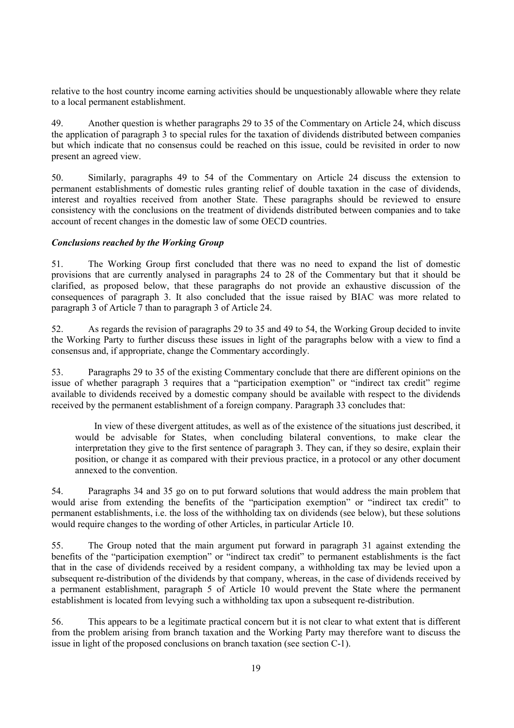relative to the host country income earning activities should be unquestionably allowable where they relate to a local permanent establishment.

49. Another question is whether paragraphs 29 to 35 of the Commentary on Article 24, which discuss the application of paragraph 3 to special rules for the taxation of dividends distributed between companies but which indicate that no consensus could be reached on this issue, could be revisited in order to now present an agreed view.

50. Similarly, paragraphs 49 to 54 of the Commentary on Article 24 discuss the extension to permanent establishments of domestic rules granting relief of double taxation in the case of dividends, interest and royalties received from another State. These paragraphs should be reviewed to ensure consistency with the conclusions on the treatment of dividends distributed between companies and to take account of recent changes in the domestic law of some OECD countries.

## *Conclusions reached by the Working Group*

51. The Working Group first concluded that there was no need to expand the list of domestic provisions that are currently analysed in paragraphs 24 to 28 of the Commentary but that it should be clarified, as proposed below, that these paragraphs do not provide an exhaustive discussion of the consequences of paragraph 3. It also concluded that the issue raised by BIAC was more related to paragraph 3 of Article 7 than to paragraph 3 of Article 24.

52. As regards the revision of paragraphs 29 to 35 and 49 to 54, the Working Group decided to invite the Working Party to further discuss these issues in light of the paragraphs below with a view to find a consensus and, if appropriate, change the Commentary accordingly.

53. Paragraphs 29 to 35 of the existing Commentary conclude that there are different opinions on the issue of whether paragraph 3 requires that a "participation exemption" or "indirect tax credit" regime available to dividends received by a domestic company should be available with respect to the dividends received by the permanent establishment of a foreign company. Paragraph 33 concludes that:

In view of these divergent attitudes, as well as of the existence of the situations just described, it would be advisable for States, when concluding bilateral conventions, to make clear the interpretation they give to the first sentence of paragraph 3. They can, if they so desire, explain their position, or change it as compared with their previous practice, in a protocol or any other document annexed to the convention.

54. Paragraphs 34 and 35 go on to put forward solutions that would address the main problem that would arise from extending the benefits of the "participation exemption" or "indirect tax credit" to permanent establishments, i.e. the loss of the withholding tax on dividends (see below), but these solutions would require changes to the wording of other Articles, in particular Article 10.

55. The Group noted that the main argument put forward in paragraph 31 against extending the benefits of the "participation exemption" or "indirect tax credit" to permanent establishments is the fact that in the case of dividends received by a resident company, a withholding tax may be levied upon a subsequent re-distribution of the dividends by that company, whereas, in the case of dividends received by a permanent establishment, paragraph 5 of Article 10 would prevent the State where the permanent establishment is located from levying such a withholding tax upon a subsequent re-distribution.

56. This appears to be a legitimate practical concern but it is not clear to what extent that is different from the problem arising from branch taxation and the Working Party may therefore want to discuss the issue in light of the proposed conclusions on branch taxation (see section C-1).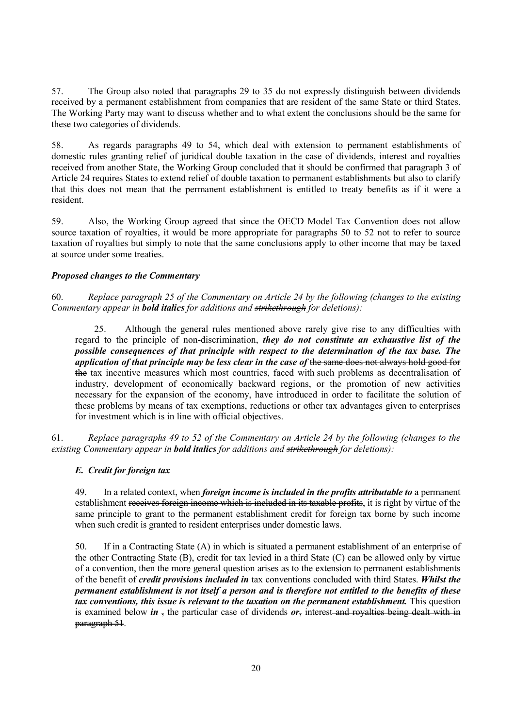57. The Group also noted that paragraphs 29 to 35 do not expressly distinguish between dividends received by a permanent establishment from companies that are resident of the same State or third States. The Working Party may want to discuss whether and to what extent the conclusions should be the same for these two categories of dividends.

58. As regards paragraphs 49 to 54, which deal with extension to permanent establishments of domestic rules granting relief of juridical double taxation in the case of dividends, interest and royalties received from another State, the Working Group concluded that it should be confirmed that paragraph 3 of Article 24 requires States to extend relief of double taxation to permanent establishments but also to clarify that this does not mean that the permanent establishment is entitled to treaty benefits as if it were a resident.

59. Also, the Working Group agreed that since the OECD Model Tax Convention does not allow source taxation of royalties, it would be more appropriate for paragraphs 50 to 52 not to refer to source taxation of royalties but simply to note that the same conclusions apply to other income that may be taxed at source under some treaties.

## *Proposed changes to the Commentary*

60. *Replace paragraph 25 of the Commentary on Article 24 by the following (changes to the existing Commentary appear in bold italics for additions and strikethrough for deletions):* 

25. Although the general rules mentioned above rarely give rise to any difficulties with regard to the principle of non-discrimination, *they do not constitute an exhaustive list of the possible consequences of that principle with respect to the determination of the tax base. The application of that principle may be less clear in the case of the same does not always hold good for* the tax incentive measures which most countries, faced with such problems as decentralisation of industry, development of economically backward regions, or the promotion of new activities necessary for the expansion of the economy, have introduced in order to facilitate the solution of these problems by means of tax exemptions, reductions or other tax advantages given to enterprises for investment which is in line with official objectives.

61. *Replace paragraphs 49 to 52 of the Commentary on Article 24 by the following (changes to the existing Commentary appear in bold italics for additions and strikethrough for deletions):* 

## *E. Credit for foreign tax*

49. In a related context, when *foreign income is included in the profits attributable to* a permanent establishment receives foreign income which is included in its taxable profits, it is right by virtue of the same principle to grant to the permanent establishment credit for foreign tax borne by such income when such credit is granted to resident enterprises under domestic laws.

50. If in a Contracting State (A) in which is situated a permanent establishment of an enterprise of the other Contracting State (B), credit for tax levied in a third State (C) can be allowed only by virtue of a convention, then the more general question arises as to the extension to permanent establishments of the benefit of *credit provisions included in* tax conventions concluded with third States. *Whilst the permanent establishment is not itself a person and is therefore not entitled to the benefits of these tax conventions, this issue is relevant to the taxation on the permanent establishment.* This question is examined below  $\boldsymbol{in}$ , the particular case of dividends  $\boldsymbol{or}$ , interest and royalties being dealt with in paragraph 51.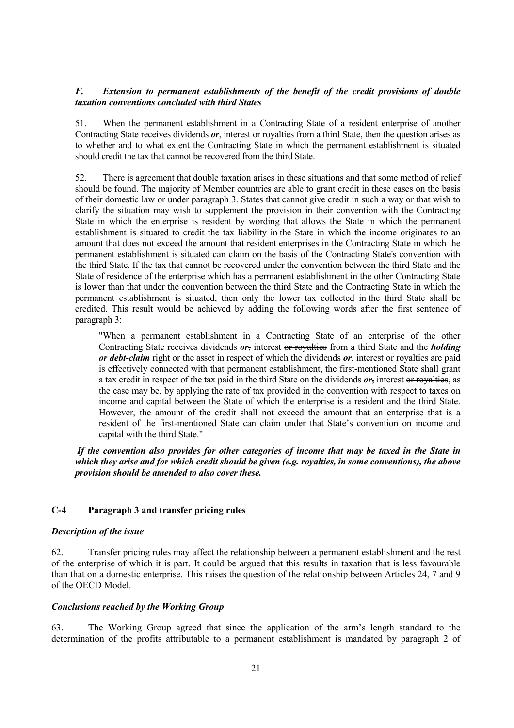## *F. Extension to permanent establishments of the benefit of the credit provisions of double taxation conventions concluded with third States*

51. When the permanent establishment in a Contracting State of a resident enterprise of another Contracting State receives dividends *or*, interest or royalties from a third State, then the question arises as to whether and to what extent the Contracting State in which the permanent establishment is situated should credit the tax that cannot be recovered from the third State.

52. There is agreement that double taxation arises in these situations and that some method of relief should be found. The majority of Member countries are able to grant credit in these cases on the basis of their domestic law or under paragraph 3. States that cannot give credit in such a way or that wish to clarify the situation may wish to supplement the provision in their convention with the Contracting State in which the enterprise is resident by wording that allows the State in which the permanent establishment is situated to credit the tax liability in the State in which the income originates to an amount that does not exceed the amount that resident enterprises in the Contracting State in which the permanent establishment is situated can claim on the basis of the Contracting State's convention with the third State. If the tax that cannot be recovered under the convention between the third State and the State of residence of the enterprise which has a permanent establishment in the other Contracting State is lower than that under the convention between the third State and the Contracting State in which the permanent establishment is situated, then only the lower tax collected in the third State shall be credited. This result would be achieved by adding the following words after the first sentence of paragraph 3:

"When a permanent establishment in a Contracting State of an enterprise of the other Contracting State receives dividends *or*, interest or royalties from a third State and the *holding or debt-claim* right or the asset in respect of which the dividends *or*, interest or royalties are paid is effectively connected with that permanent establishment, the first-mentioned State shall grant a tax credit in respect of the tax paid in the third State on the dividends *or*, interest or royalties, as the case may be, by applying the rate of tax provided in the convention with respect to taxes on income and capital between the State of which the enterprise is a resident and the third State. However, the amount of the credit shall not exceed the amount that an enterprise that is a resident of the first-mentioned State can claim under that State's convention on income and capital with the third State."

*If the convention also provides for other categories of income that may be taxed in the State in which they arise and for which credit should be given (e.g. royalties, in some conventions), the above provision should be amended to also cover these.* 

## **C-4 Paragraph 3 and transfer pricing rules**

#### *Description of the issue*

62. Transfer pricing rules may affect the relationship between a permanent establishment and the rest of the enterprise of which it is part. It could be argued that this results in taxation that is less favourable than that on a domestic enterprise. This raises the question of the relationship between Articles 24, 7 and 9 of the OECD Model.

#### *Conclusions reached by the Working Group*

63. The Working Group agreed that since the application of the arm's length standard to the determination of the profits attributable to a permanent establishment is mandated by paragraph 2 of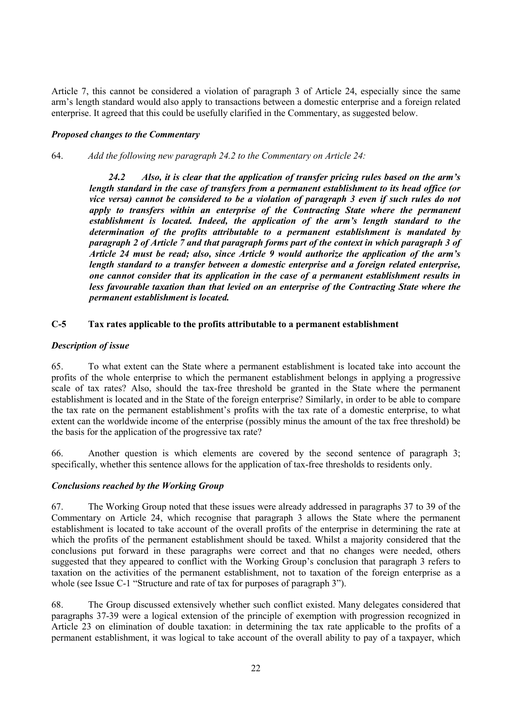Article 7, this cannot be considered a violation of paragraph 3 of Article 24, especially since the same arm's length standard would also apply to transactions between a domestic enterprise and a foreign related enterprise. It agreed that this could be usefully clarified in the Commentary, as suggested below.

#### *Proposed changes to the Commentary*

64. *Add the following new paragraph 24.2 to the Commentary on Article 24:* 

*24.2 Also, it is clear that the application of transfer pricing rules based on the arm's length standard in the case of transfers from a permanent establishment to its head office (or vice versa) cannot be considered to be a violation of paragraph 3 even if such rules do not apply to transfers within an enterprise of the Contracting State where the permanent establishment is located. Indeed, the application of the arm's length standard to the determination of the profits attributable to a permanent establishment is mandated by paragraph 2 of Article 7 and that paragraph forms part of the context in which paragraph 3 of Article 24 must be read; also, since Article 9 would authorize the application of the arm's length standard to a transfer between a domestic enterprise and a foreign related enterprise, one cannot consider that its application in the case of a permanent establishment results in less favourable taxation than that levied on an enterprise of the Contracting State where the permanent establishment is located.* 

#### **C-5 Tax rates applicable to the profits attributable to a permanent establishment**

#### *Description of issue*

65. To what extent can the State where a permanent establishment is located take into account the profits of the whole enterprise to which the permanent establishment belongs in applying a progressive scale of tax rates? Also, should the tax-free threshold be granted in the State where the permanent establishment is located and in the State of the foreign enterprise? Similarly, in order to be able to compare the tax rate on the permanent establishment's profits with the tax rate of a domestic enterprise, to what extent can the worldwide income of the enterprise (possibly minus the amount of the tax free threshold) be the basis for the application of the progressive tax rate?

66. Another question is which elements are covered by the second sentence of paragraph 3; specifically, whether this sentence allows for the application of tax-free thresholds to residents only.

#### *Conclusions reached by the Working Group*

67. The Working Group noted that these issues were already addressed in paragraphs 37 to 39 of the Commentary on Article 24, which recognise that paragraph 3 allows the State where the permanent establishment is located to take account of the overall profits of the enterprise in determining the rate at which the profits of the permanent establishment should be taxed. Whilst a majority considered that the conclusions put forward in these paragraphs were correct and that no changes were needed, others suggested that they appeared to conflict with the Working Group's conclusion that paragraph 3 refers to taxation on the activities of the permanent establishment, not to taxation of the foreign enterprise as a whole (see Issue C-1 "Structure and rate of tax for purposes of paragraph 3").

68. The Group discussed extensively whether such conflict existed. Many delegates considered that paragraphs 37-39 were a logical extension of the principle of exemption with progression recognized in Article 23 on elimination of double taxation: in determining the tax rate applicable to the profits of a permanent establishment, it was logical to take account of the overall ability to pay of a taxpayer, which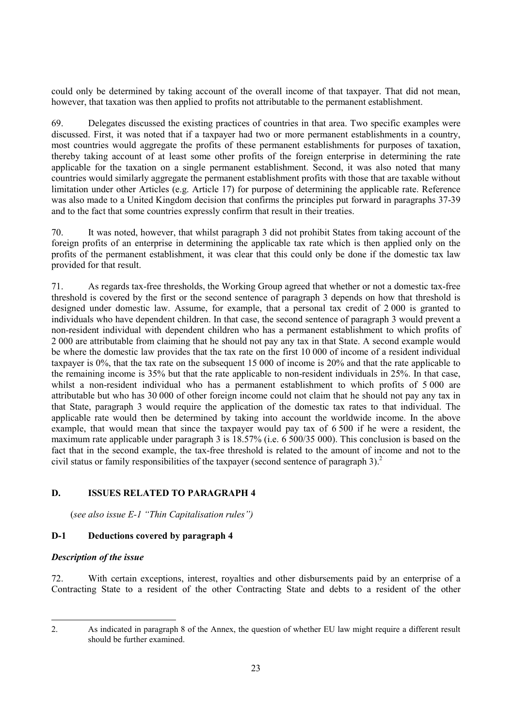could only be determined by taking account of the overall income of that taxpayer. That did not mean, however, that taxation was then applied to profits not attributable to the permanent establishment.

69. Delegates discussed the existing practices of countries in that area. Two specific examples were discussed. First, it was noted that if a taxpayer had two or more permanent establishments in a country, most countries would aggregate the profits of these permanent establishments for purposes of taxation, thereby taking account of at least some other profits of the foreign enterprise in determining the rate applicable for the taxation on a single permanent establishment. Second, it was also noted that many countries would similarly aggregate the permanent establishment profits with those that are taxable without limitation under other Articles (e.g. Article 17) for purpose of determining the applicable rate. Reference was also made to a United Kingdom decision that confirms the principles put forward in paragraphs 37-39 and to the fact that some countries expressly confirm that result in their treaties.

70. It was noted, however, that whilst paragraph 3 did not prohibit States from taking account of the foreign profits of an enterprise in determining the applicable tax rate which is then applied only on the profits of the permanent establishment, it was clear that this could only be done if the domestic tax law provided for that result.

71. As regards tax-free thresholds, the Working Group agreed that whether or not a domestic tax-free threshold is covered by the first or the second sentence of paragraph 3 depends on how that threshold is designed under domestic law. Assume, for example, that a personal tax credit of 2 000 is granted to individuals who have dependent children. In that case, the second sentence of paragraph 3 would prevent a non-resident individual with dependent children who has a permanent establishment to which profits of 2 000 are attributable from claiming that he should not pay any tax in that State. A second example would be where the domestic law provides that the tax rate on the first 10 000 of income of a resident individual taxpayer is 0%, that the tax rate on the subsequent 15 000 of income is 20% and that the rate applicable to the remaining income is 35% but that the rate applicable to non-resident individuals in 25%. In that case, whilst a non-resident individual who has a permanent establishment to which profits of 5 000 are attributable but who has 30 000 of other foreign income could not claim that he should not pay any tax in that State, paragraph 3 would require the application of the domestic tax rates to that individual. The applicable rate would then be determined by taking into account the worldwide income. In the above example, that would mean that since the taxpayer would pay tax of 6 500 if he were a resident, the maximum rate applicable under paragraph 3 is 18.57% (i.e. 6 500/35 000). This conclusion is based on the fact that in the second example, the tax-free threshold is related to the amount of income and not to the civil status or family responsibilities of the taxpayer (second sentence of paragraph 3).<sup>2</sup>

## **D. ISSUES RELATED TO PARAGRAPH 4**

(*see also issue E-1 "Thin Capitalisation rules")* 

## **D-1 Deductions covered by paragraph 4**

#### *Description of the issue*

72. With certain exceptions, interest, royalties and other disbursements paid by an enterprise of a Contracting State to a resident of the other Contracting State and debts to a resident of the other

 $\overline{a}$ 2. As indicated in paragraph 8 of the Annex, the question of whether EU law might require a different result should be further examined.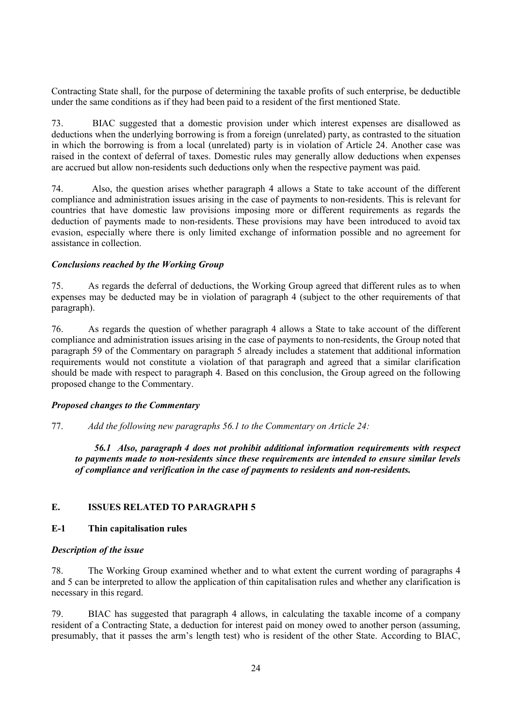Contracting State shall, for the purpose of determining the taxable profits of such enterprise, be deductible under the same conditions as if they had been paid to a resident of the first mentioned State.

73. BIAC suggested that a domestic provision under which interest expenses are disallowed as deductions when the underlying borrowing is from a foreign (unrelated) party, as contrasted to the situation in which the borrowing is from a local (unrelated) party is in violation of Article 24. Another case was raised in the context of deferral of taxes. Domestic rules may generally allow deductions when expenses are accrued but allow non-residents such deductions only when the respective payment was paid.

74. Also, the question arises whether paragraph 4 allows a State to take account of the different compliance and administration issues arising in the case of payments to non-residents. This is relevant for countries that have domestic law provisions imposing more or different requirements as regards the deduction of payments made to non-residents. These provisions may have been introduced to avoid tax evasion, especially where there is only limited exchange of information possible and no agreement for assistance in collection.

#### *Conclusions reached by the Working Group*

75. As regards the deferral of deductions, the Working Group agreed that different rules as to when expenses may be deducted may be in violation of paragraph 4 (subject to the other requirements of that paragraph).

76. As regards the question of whether paragraph 4 allows a State to take account of the different compliance and administration issues arising in the case of payments to non-residents, the Group noted that paragraph 59 of the Commentary on paragraph 5 already includes a statement that additional information requirements would not constitute a violation of that paragraph and agreed that a similar clarification should be made with respect to paragraph 4. Based on this conclusion, the Group agreed on the following proposed change to the Commentary.

#### *Proposed changes to the Commentary*

#### 77. *Add the following new paragraphs 56.1 to the Commentary on Article 24:*

*56.1 Also, paragraph 4 does not prohibit additional information requirements with respect to payments made to non-residents since these requirements are intended to ensure similar levels of compliance and verification in the case of payments to residents and non-residents.* 

#### **E. ISSUES RELATED TO PARAGRAPH 5**

#### **E-1 Thin capitalisation rules**

#### *Description of the issue*

78. The Working Group examined whether and to what extent the current wording of paragraphs 4 and 5 can be interpreted to allow the application of thin capitalisation rules and whether any clarification is necessary in this regard.

79. BIAC has suggested that paragraph 4 allows, in calculating the taxable income of a company resident of a Contracting State, a deduction for interest paid on money owed to another person (assuming, presumably, that it passes the arm's length test) who is resident of the other State. According to BIAC,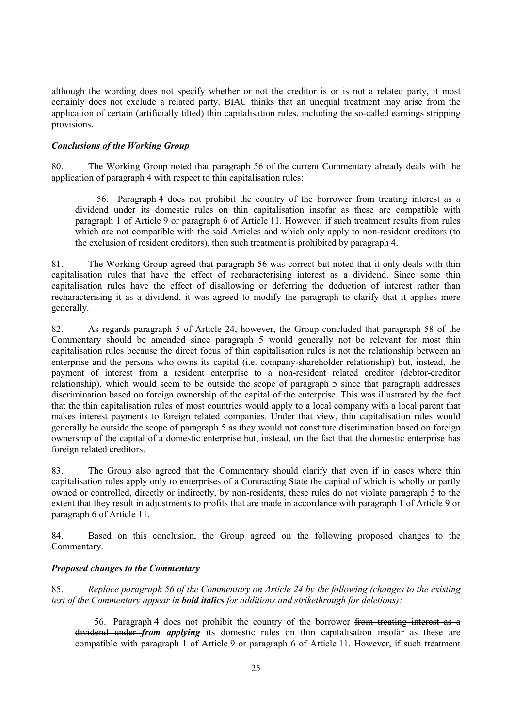although the wording does not specify whether or not the creditor is or is not a related party, it most certainly does not exclude a related party. BIAC thinks that an unequal treatment may arise from the application of certain (artificially tilted) thin capitalisation rules, including the so-called earnings stripping provisions.

#### *Conclusions of the Working Group*

80. The Working Group noted that paragraph 56 of the current Commentary already deals with the application of paragraph 4 with respect to thin capitalisation rules:

 56. Paragraph 4 does not prohibit the country of the borrower from treating interest as a dividend under its domestic rules on thin capitalisation insofar as these are compatible with paragraph 1 of Article 9 or paragraph 6 of Article 11. However, if such treatment results from rules which are not compatible with the said Articles and which only apply to non-resident creditors (to the exclusion of resident creditors), then such treatment is prohibited by paragraph 4.

81. The Working Group agreed that paragraph 56 was correct but noted that it only deals with thin capitalisation rules that have the effect of recharacterising interest as a dividend. Since some thin capitalisation rules have the effect of disallowing or deferring the deduction of interest rather than recharacterising it as a dividend, it was agreed to modify the paragraph to clarify that it applies more generally.

82. As regards paragraph 5 of Article 24, however, the Group concluded that paragraph 58 of the Commentary should be amended since paragraph 5 would generally not be relevant for most thin capitalisation rules because the direct focus of thin capitalisation rules is not the relationship between an enterprise and the persons who owns its capital (i.e. company-shareholder relationship) but, instead, the payment of interest from a resident enterprise to a non-resident related creditor (debtor-creditor relationship), which would seem to be outside the scope of paragraph 5 since that paragraph addresses discrimination based on foreign ownership of the capital of the enterprise. This was illustrated by the fact that the thin capitalisation rules of most countries would apply to a local company with a local parent that makes interest payments to foreign related companies. Under that view, thin capitalisation rules would generally be outside the scope of paragraph 5 as they would not constitute discrimination based on foreign ownership of the capital of a domestic enterprise but, instead, on the fact that the domestic enterprise has foreign related creditors.

83. The Group also agreed that the Commentary should clarify that even if in cases where thin capitalisation rules apply only to enterprises of a Contracting State the capital of which is wholly or partly owned or controlled, directly or indirectly, by non-residents, these rules do not violate paragraph 5 to the extent that they result in adjustments to profits that are made in accordance with paragraph 1 of Article 9 or paragraph 6 of Article 11.

84. Based on this conclusion, the Group agreed on the following proposed changes to the Commentary.

#### *Proposed changes to the Commentary*

85. *Replace paragraph 56 of the Commentary on Article 24 by the following (changes to the existing text of the Commentary appear in bold italics for additions and strikethrough for deletions):* 

56. Paragraph 4 does not prohibit the country of the borrower from treating interest as a dividend under *from applying* its domestic rules on thin capitalisation insofar as these are compatible with paragraph 1 of Article 9 or paragraph 6 of Article 11. However, if such treatment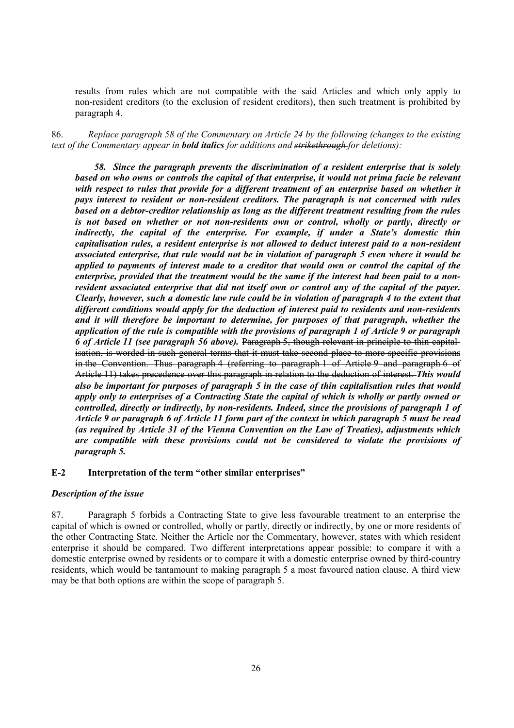results from rules which are not compatible with the said Articles and which only apply to non-resident creditors (to the exclusion of resident creditors), then such treatment is prohibited by paragraph 4.

86. *Replace paragraph 58 of the Commentary on Article 24 by the following (changes to the existing text of the Commentary appear in bold italics for additions and strikethrough for deletions):* 

*58. Since the paragraph prevents the discrimination of a resident enterprise that is solely*  based on who owns or controls the capital of that enterprise, it would not prima facie be relevant with respect to rules that provide for a different treatment of an enterprise based on whether it *pays interest to resident or non-resident creditors. The paragraph is not concerned with rules based on a debtor-creditor relationship as long as the different treatment resulting from the rules*  is not based on whether or not non-residents own or control, wholly or partly, directly or *indirectly, the capital of the enterprise. For example, if under a State's domestic thin capitalisation rules, a resident enterprise is not allowed to deduct interest paid to a non-resident associated enterprise, that rule would not be in violation of paragraph 5 even where it would be applied to payments of interest made to a creditor that would own or control the capital of the enterprise, provided that the treatment would be the same if the interest had been paid to a nonresident associated enterprise that did not itself own or control any of the capital of the payer. Clearly, however, such a domestic law rule could be in violation of paragraph 4 to the extent that different conditions would apply for the deduction of interest paid to residents and non-residents and it will therefore be important to determine, for purposes of that paragraph, whether the application of the rule is compatible with the provisions of paragraph 1 of Article 9 or paragraph 6 of Article 11 (see paragraph 56 above).* Paragraph 5, though relevant in principle to thin capitalisation, is worded in such general terms that it must take second place to more specific provisions in the Convention. Thus paragraph 4 (referring to paragraph 1 of Article 9 and paragraph 6 of Article 11) takes precedence over this paragraph in relation to the deduction of interest. *This would also be important for purposes of paragraph 5 in the case of thin capitalisation rules that would apply only to enterprises of a Contracting State the capital of which is wholly or partly owned or controlled, directly or indirectly, by non-residents. Indeed, since the provisions of paragraph 1 of Article 9 or paragraph 6 of Article 11 form part of the context in which paragraph 5 must be read (as required by Article 31 of the Vienna Convention on the Law of Treaties), adjustments which are compatible with these provisions could not be considered to violate the provisions of paragraph 5.* 

#### **E-2 Interpretation of the term "other similar enterprises"**

#### *Description of the issue*

87. Paragraph 5 forbids a Contracting State to give less favourable treatment to an enterprise the capital of which is owned or controlled, wholly or partly, directly or indirectly, by one or more residents of the other Contracting State. Neither the Article nor the Commentary, however, states with which resident enterprise it should be compared. Two different interpretations appear possible: to compare it with a domestic enterprise owned by residents or to compare it with a domestic enterprise owned by third-country residents, which would be tantamount to making paragraph 5 a most favoured nation clause. A third view may be that both options are within the scope of paragraph 5.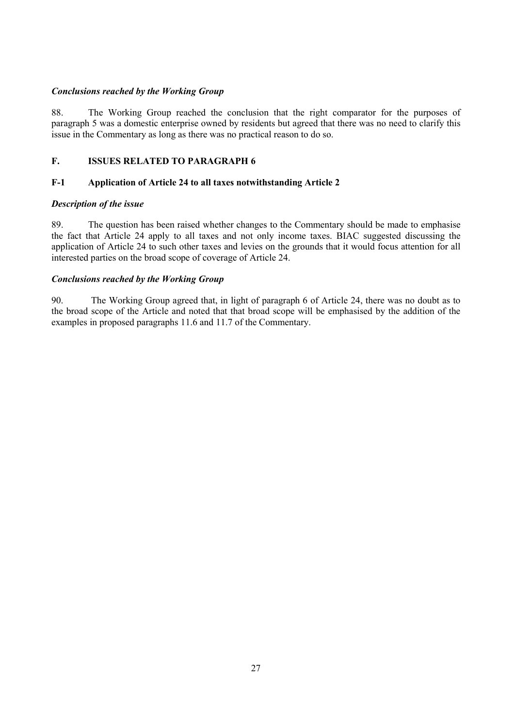# *Conclusions reached by the Working Group*

88. The Working Group reached the conclusion that the right comparator for the purposes of paragraph 5 was a domestic enterprise owned by residents but agreed that there was no need to clarify this issue in the Commentary as long as there was no practical reason to do so.

# **F. ISSUES RELATED TO PARAGRAPH 6**

## **F-1 Application of Article 24 to all taxes notwithstanding Article 2**

## *Description of the issue*

89. The question has been raised whether changes to the Commentary should be made to emphasise the fact that Article 24 apply to all taxes and not only income taxes. BIAC suggested discussing the application of Article 24 to such other taxes and levies on the grounds that it would focus attention for all interested parties on the broad scope of coverage of Article 24.

# *Conclusions reached by the Working Group*

90. The Working Group agreed that, in light of paragraph 6 of Article 24, there was no doubt as to the broad scope of the Article and noted that that broad scope will be emphasised by the addition of the examples in proposed paragraphs 11.6 and 11.7 of the Commentary.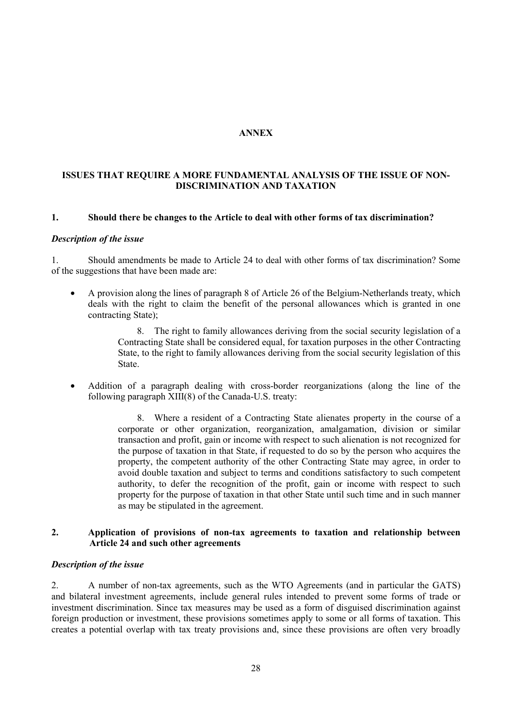# **ANNEX**

# **ISSUES THAT REQUIRE A MORE FUNDAMENTAL ANALYSIS OF THE ISSUE OF NON-DISCRIMINATION AND TAXATION**

#### **1. Should there be changes to the Article to deal with other forms of tax discrimination?**

#### *Description of the issue*

1. Should amendments be made to Article 24 to deal with other forms of tax discrimination? Some of the suggestions that have been made are:

• A provision along the lines of paragraph 8 of Article 26 of the Belgium-Netherlands treaty, which deals with the right to claim the benefit of the personal allowances which is granted in one contracting State);

> 8. The right to family allowances deriving from the social security legislation of a Contracting State shall be considered equal, for taxation purposes in the other Contracting State, to the right to family allowances deriving from the social security legislation of this State.

• Addition of a paragraph dealing with cross-border reorganizations (along the line of the following paragraph XIII(8) of the Canada-U.S. treaty:

> 8. Where a resident of a Contracting State alienates property in the course of a corporate or other organization, reorganization, amalgamation, division or similar transaction and profit, gain or income with respect to such alienation is not recognized for the purpose of taxation in that State, if requested to do so by the person who acquires the property, the competent authority of the other Contracting State may agree, in order to avoid double taxation and subject to terms and conditions satisfactory to such competent authority, to defer the recognition of the profit, gain or income with respect to such property for the purpose of taxation in that other State until such time and in such manner as may be stipulated in the agreement.

## **2. Application of provisions of non-tax agreements to taxation and relationship between Article 24 and such other agreements**

## *Description of the issue*

2. A number of non-tax agreements, such as the WTO Agreements (and in particular the GATS) and bilateral investment agreements, include general rules intended to prevent some forms of trade or investment discrimination. Since tax measures may be used as a form of disguised discrimination against foreign production or investment, these provisions sometimes apply to some or all forms of taxation. This creates a potential overlap with tax treaty provisions and, since these provisions are often very broadly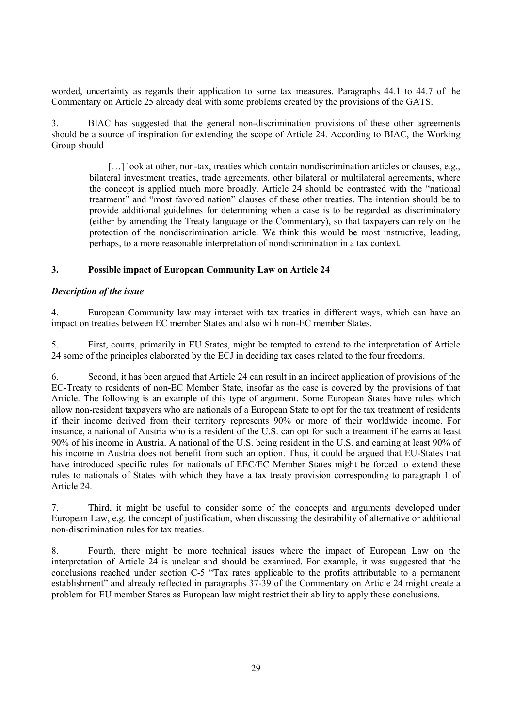worded, uncertainty as regards their application to some tax measures. Paragraphs 44.1 to 44.7 of the Commentary on Article 25 already deal with some problems created by the provisions of the GATS.

3. BIAC has suggested that the general non-discrimination provisions of these other agreements should be a source of inspiration for extending the scope of Article 24. According to BIAC, the Working Group should

[...] look at other, non-tax, treaties which contain nondiscrimination articles or clauses, e.g., bilateral investment treaties, trade agreements, other bilateral or multilateral agreements, where the concept is applied much more broadly. Article 24 should be contrasted with the "national treatment" and "most favored nation" clauses of these other treaties. The intention should be to provide additional guidelines for determining when a case is to be regarded as discriminatory (either by amending the Treaty language or the Commentary), so that taxpayers can rely on the protection of the nondiscrimination article. We think this would be most instructive, leading, perhaps, to a more reasonable interpretation of nondiscrimination in a tax context.

# **3. Possible impact of European Community Law on Article 24**

## *Description of the issue*

4. European Community law may interact with tax treaties in different ways, which can have an impact on treaties between EC member States and also with non-EC member States.

5. First, courts, primarily in EU States, might be tempted to extend to the interpretation of Article 24 some of the principles elaborated by the ECJ in deciding tax cases related to the four freedoms.

6. Second, it has been argued that Article 24 can result in an indirect application of provisions of the EC-Treaty to residents of non-EC Member State, insofar as the case is covered by the provisions of that Article. The following is an example of this type of argument. Some European States have rules which allow non-resident taxpayers who are nationals of a European State to opt for the tax treatment of residents if their income derived from their territory represents 90% or more of their worldwide income. For instance, a national of Austria who is a resident of the U.S. can opt for such a treatment if he earns at least 90% of his income in Austria. A national of the U.S. being resident in the U.S. and earning at least 90% of his income in Austria does not benefit from such an option. Thus, it could be argued that EU-States that have introduced specific rules for nationals of EEC/EC Member States might be forced to extend these rules to nationals of States with which they have a tax treaty provision corresponding to paragraph 1 of Article 24.

7. Third, it might be useful to consider some of the concepts and arguments developed under European Law, e.g. the concept of justification, when discussing the desirability of alternative or additional non-discrimination rules for tax treaties.

8. Fourth, there might be more technical issues where the impact of European Law on the interpretation of Article 24 is unclear and should be examined. For example, it was suggested that the conclusions reached under section C-5 "Tax rates applicable to the profits attributable to a permanent establishment" and already reflected in paragraphs 37-39 of the Commentary on Article 24 might create a problem for EU member States as European law might restrict their ability to apply these conclusions.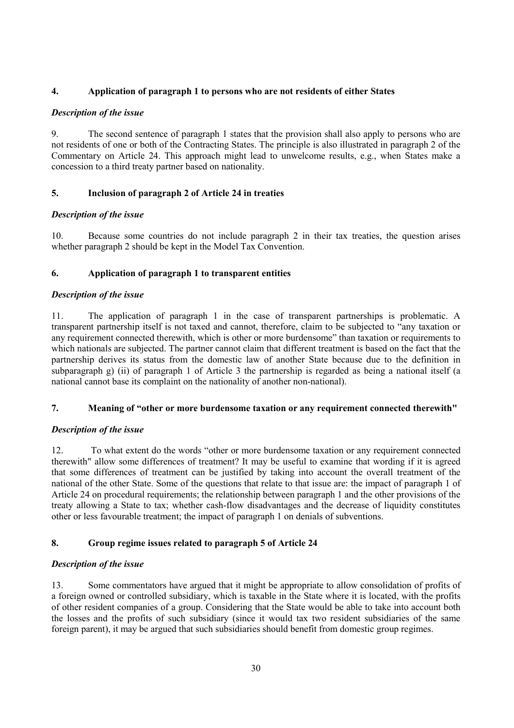# **4. Application of paragraph 1 to persons who are not residents of either States**

## *Description of the issue*

9. The second sentence of paragraph 1 states that the provision shall also apply to persons who are not residents of one or both of the Contracting States. The principle is also illustrated in paragraph 2 of the Commentary on Article 24. This approach might lead to unwelcome results, e.g., when States make a concession to a third treaty partner based on nationality.

# **5. Inclusion of paragraph 2 of Article 24 in treaties**

# *Description of the issue*

10. Because some countries do not include paragraph 2 in their tax treaties, the question arises whether paragraph 2 should be kept in the Model Tax Convention.

# **6. Application of paragraph 1 to transparent entities**

# *Description of the issue*

11. The application of paragraph 1 in the case of transparent partnerships is problematic. A transparent partnership itself is not taxed and cannot, therefore, claim to be subjected to "any taxation or any requirement connected therewith, which is other or more burdensome" than taxation or requirements to which nationals are subjected. The partner cannot claim that different treatment is based on the fact that the partnership derives its status from the domestic law of another State because due to the definition in subparagraph g) (ii) of paragraph 1 of Article 3 the partnership is regarded as being a national itself (a national cannot base its complaint on the nationality of another non-national).

## **7. Meaning of "other or more burdensome taxation or any requirement connected therewith"**

# *Description of the issue*

12. To what extent do the words "other or more burdensome taxation or any requirement connected therewith" allow some differences of treatment? It may be useful to examine that wording if it is agreed that some differences of treatment can be justified by taking into account the overall treatment of the national of the other State. Some of the questions that relate to that issue are: the impact of paragraph 1 of Article 24 on procedural requirements; the relationship between paragraph 1 and the other provisions of the treaty allowing a State to tax; whether cash-flow disadvantages and the decrease of liquidity constitutes other or less favourable treatment; the impact of paragraph 1 on denials of subventions.

# **8. Group regime issues related to paragraph 5 of Article 24**

# *Description of the issue*

13. Some commentators have argued that it might be appropriate to allow consolidation of profits of a foreign owned or controlled subsidiary, which is taxable in the State where it is located, with the profits of other resident companies of a group. Considering that the State would be able to take into account both the losses and the profits of such subsidiary (since it would tax two resident subsidiaries of the same foreign parent), it may be argued that such subsidiaries should benefit from domestic group regimes.